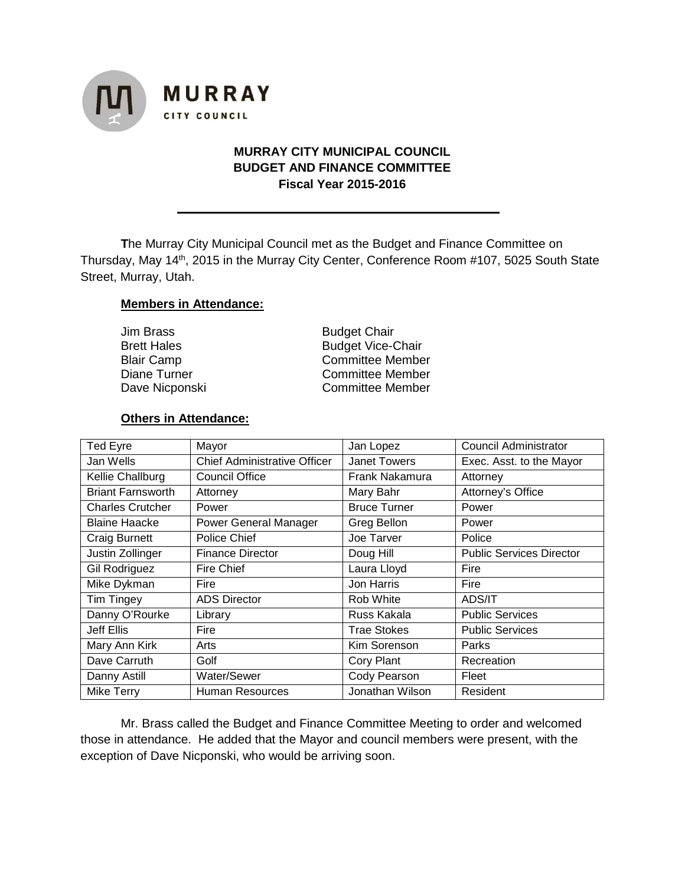

## **MURRAY CITY MUNICIPAL COUNCIL BUDGET AND FINANCE COMMITTEE Fiscal Year 2015-2016**

**T**he Murray City Municipal Council met as the Budget and Finance Committee on Thursday, May 14<sup>th</sup>, 2015 in the Murray City Center, Conference Room #107, 5025 South State Street, Murray, Utah.

#### **Members in Attendance:**

| Jim Brass      |  |
|----------------|--|
| Brett Hales    |  |
| Blair Camp     |  |
| Diane Turner   |  |
| Dave Nicponski |  |

**Budget Chair** Budget Vice-Chair Committee Member Committee Member Committee Member

#### **Others in Attendance:**

| <b>Ted Eyre</b>          | Mayor                               | Jan Lopez           | <b>Council Administrator</b>    |
|--------------------------|-------------------------------------|---------------------|---------------------------------|
| Jan Wells                | <b>Chief Administrative Officer</b> | <b>Janet Towers</b> | Exec. Asst. to the Mayor        |
| Kellie Challburg         | <b>Council Office</b>               | Frank Nakamura      | Attorney                        |
| <b>Briant Farnsworth</b> | Attorney                            | Mary Bahr           | Attorney's Office               |
| <b>Charles Crutcher</b>  | Power                               | <b>Bruce Turner</b> | Power                           |
| <b>Blaine Haacke</b>     | <b>Power General Manager</b>        | Greg Bellon         | Power                           |
| Craig Burnett            | Police Chief                        | Joe Tarver          | Police                          |
| Justin Zollinger         | <b>Finance Director</b>             | Doug Hill           | <b>Public Services Director</b> |
| Gil Rodriguez            | <b>Fire Chief</b>                   | Laura Lloyd         | Fire                            |
| Mike Dykman              | Fire                                | Jon Harris          | Fire                            |
| Tim Tingey               | <b>ADS Director</b>                 | Rob White           | ADS/IT                          |
| Danny O'Rourke           | Library                             | Russ Kakala         | <b>Public Services</b>          |
| Jeff Ellis               | Fire                                | Trae Stokes         | <b>Public Services</b>          |
| Mary Ann Kirk            | Arts                                | Kim Sorenson        | Parks                           |
| Dave Carruth             | Golf                                | Cory Plant          | Recreation                      |
| Danny Astill             | Water/Sewer                         | Cody Pearson        | Fleet                           |
| Mike Terry               | Human Resources                     | Jonathan Wilson     | Resident                        |

Mr. Brass called the Budget and Finance Committee Meeting to order and welcomed those in attendance. He added that the Mayor and council members were present, with the exception of Dave Nicponski, who would be arriving soon.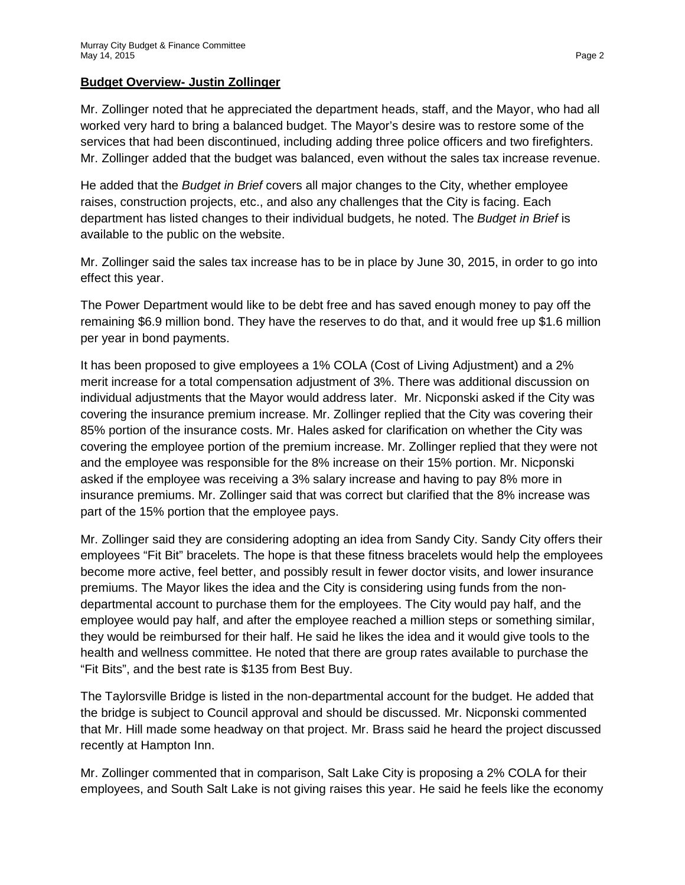## **Budget Overview- Justin Zollinger**

Mr. Zollinger noted that he appreciated the department heads, staff, and the Mayor, who had all worked very hard to bring a balanced budget. The Mayor's desire was to restore some of the services that had been discontinued, including adding three police officers and two firefighters. Mr. Zollinger added that the budget was balanced, even without the sales tax increase revenue.

He added that the *Budget in Brief* covers all major changes to the City, whether employee raises, construction projects, etc., and also any challenges that the City is facing. Each department has listed changes to their individual budgets, he noted. The *Budget in Brief* is available to the public on the website.

Mr. Zollinger said the sales tax increase has to be in place by June 30, 2015, in order to go into effect this year.

The Power Department would like to be debt free and has saved enough money to pay off the remaining \$6.9 million bond. They have the reserves to do that, and it would free up \$1.6 million per year in bond payments.

It has been proposed to give employees a 1% COLA (Cost of Living Adjustment) and a 2% merit increase for a total compensation adjustment of 3%. There was additional discussion on individual adjustments that the Mayor would address later. Mr. Nicponski asked if the City was covering the insurance premium increase. Mr. Zollinger replied that the City was covering their 85% portion of the insurance costs. Mr. Hales asked for clarification on whether the City was covering the employee portion of the premium increase. Mr. Zollinger replied that they were not and the employee was responsible for the 8% increase on their 15% portion. Mr. Nicponski asked if the employee was receiving a 3% salary increase and having to pay 8% more in insurance premiums. Mr. Zollinger said that was correct but clarified that the 8% increase was part of the 15% portion that the employee pays.

Mr. Zollinger said they are considering adopting an idea from Sandy City. Sandy City offers their employees "Fit Bit" bracelets. The hope is that these fitness bracelets would help the employees become more active, feel better, and possibly result in fewer doctor visits, and lower insurance premiums. The Mayor likes the idea and the City is considering using funds from the nondepartmental account to purchase them for the employees. The City would pay half, and the employee would pay half, and after the employee reached a million steps or something similar, they would be reimbursed for their half. He said he likes the idea and it would give tools to the health and wellness committee. He noted that there are group rates available to purchase the "Fit Bits", and the best rate is \$135 from Best Buy.

The Taylorsville Bridge is listed in the non-departmental account for the budget. He added that the bridge is subject to Council approval and should be discussed. Mr. Nicponski commented that Mr. Hill made some headway on that project. Mr. Brass said he heard the project discussed recently at Hampton Inn.

Mr. Zollinger commented that in comparison, Salt Lake City is proposing a 2% COLA for their employees, and South Salt Lake is not giving raises this year. He said he feels like the economy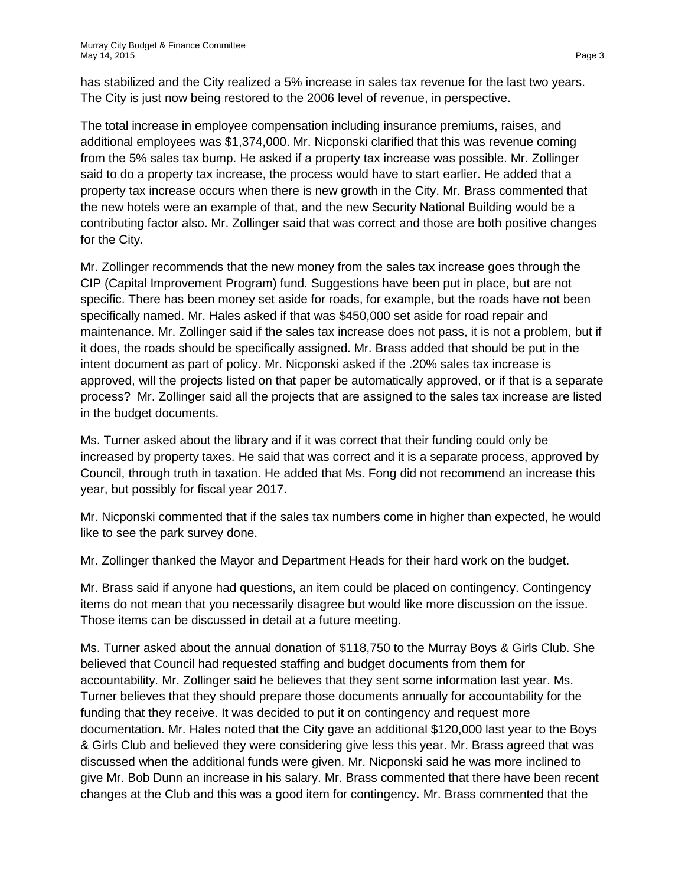has stabilized and the City realized a 5% increase in sales tax revenue for the last two years. The City is just now being restored to the 2006 level of revenue, in perspective.

The total increase in employee compensation including insurance premiums, raises, and additional employees was \$1,374,000. Mr. Nicponski clarified that this was revenue coming from the 5% sales tax bump. He asked if a property tax increase was possible. Mr. Zollinger said to do a property tax increase, the process would have to start earlier. He added that a property tax increase occurs when there is new growth in the City. Mr. Brass commented that the new hotels were an example of that, and the new Security National Building would be a contributing factor also. Mr. Zollinger said that was correct and those are both positive changes for the City.

Mr. Zollinger recommends that the new money from the sales tax increase goes through the CIP (Capital Improvement Program) fund. Suggestions have been put in place, but are not specific. There has been money set aside for roads, for example, but the roads have not been specifically named. Mr. Hales asked if that was \$450,000 set aside for road repair and maintenance. Mr. Zollinger said if the sales tax increase does not pass, it is not a problem, but if it does, the roads should be specifically assigned. Mr. Brass added that should be put in the intent document as part of policy. Mr. Nicponski asked if the .20% sales tax increase is approved, will the projects listed on that paper be automatically approved, or if that is a separate process? Mr. Zollinger said all the projects that are assigned to the sales tax increase are listed in the budget documents.

Ms. Turner asked about the library and if it was correct that their funding could only be increased by property taxes. He said that was correct and it is a separate process, approved by Council, through truth in taxation. He added that Ms. Fong did not recommend an increase this year, but possibly for fiscal year 2017.

Mr. Nicponski commented that if the sales tax numbers come in higher than expected, he would like to see the park survey done.

Mr. Zollinger thanked the Mayor and Department Heads for their hard work on the budget.

Mr. Brass said if anyone had questions, an item could be placed on contingency. Contingency items do not mean that you necessarily disagree but would like more discussion on the issue. Those items can be discussed in detail at a future meeting.

Ms. Turner asked about the annual donation of \$118,750 to the Murray Boys & Girls Club. She believed that Council had requested staffing and budget documents from them for accountability. Mr. Zollinger said he believes that they sent some information last year. Ms. Turner believes that they should prepare those documents annually for accountability for the funding that they receive. It was decided to put it on contingency and request more documentation. Mr. Hales noted that the City gave an additional \$120,000 last year to the Boys & Girls Club and believed they were considering give less this year. Mr. Brass agreed that was discussed when the additional funds were given. Mr. Nicponski said he was more inclined to give Mr. Bob Dunn an increase in his salary. Mr. Brass commented that there have been recent changes at the Club and this was a good item for contingency. Mr. Brass commented that the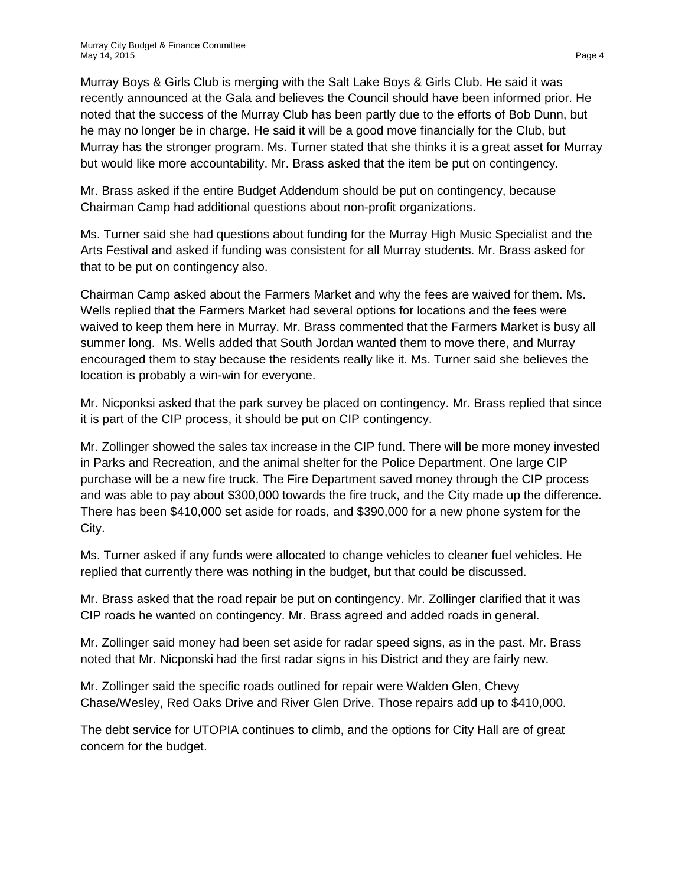Murray Boys & Girls Club is merging with the Salt Lake Boys & Girls Club. He said it was recently announced at the Gala and believes the Council should have been informed prior. He noted that the success of the Murray Club has been partly due to the efforts of Bob Dunn, but he may no longer be in charge. He said it will be a good move financially for the Club, but Murray has the stronger program. Ms. Turner stated that she thinks it is a great asset for Murray but would like more accountability. Mr. Brass asked that the item be put on contingency.

Mr. Brass asked if the entire Budget Addendum should be put on contingency, because Chairman Camp had additional questions about non-profit organizations.

Ms. Turner said she had questions about funding for the Murray High Music Specialist and the Arts Festival and asked if funding was consistent for all Murray students. Mr. Brass asked for that to be put on contingency also.

Chairman Camp asked about the Farmers Market and why the fees are waived for them. Ms. Wells replied that the Farmers Market had several options for locations and the fees were waived to keep them here in Murray. Mr. Brass commented that the Farmers Market is busy all summer long. Ms. Wells added that South Jordan wanted them to move there, and Murray encouraged them to stay because the residents really like it. Ms. Turner said she believes the location is probably a win-win for everyone.

Mr. Nicponksi asked that the park survey be placed on contingency. Mr. Brass replied that since it is part of the CIP process, it should be put on CIP contingency.

Mr. Zollinger showed the sales tax increase in the CIP fund. There will be more money invested in Parks and Recreation, and the animal shelter for the Police Department. One large CIP purchase will be a new fire truck. The Fire Department saved money through the CIP process and was able to pay about \$300,000 towards the fire truck, and the City made up the difference. There has been \$410,000 set aside for roads, and \$390,000 for a new phone system for the City.

Ms. Turner asked if any funds were allocated to change vehicles to cleaner fuel vehicles. He replied that currently there was nothing in the budget, but that could be discussed.

Mr. Brass asked that the road repair be put on contingency. Mr. Zollinger clarified that it was CIP roads he wanted on contingency. Mr. Brass agreed and added roads in general.

Mr. Zollinger said money had been set aside for radar speed signs, as in the past. Mr. Brass noted that Mr. Nicponski had the first radar signs in his District and they are fairly new.

Mr. Zollinger said the specific roads outlined for repair were Walden Glen, Chevy Chase/Wesley, Red Oaks Drive and River Glen Drive. Those repairs add up to \$410,000.

The debt service for UTOPIA continues to climb, and the options for City Hall are of great concern for the budget.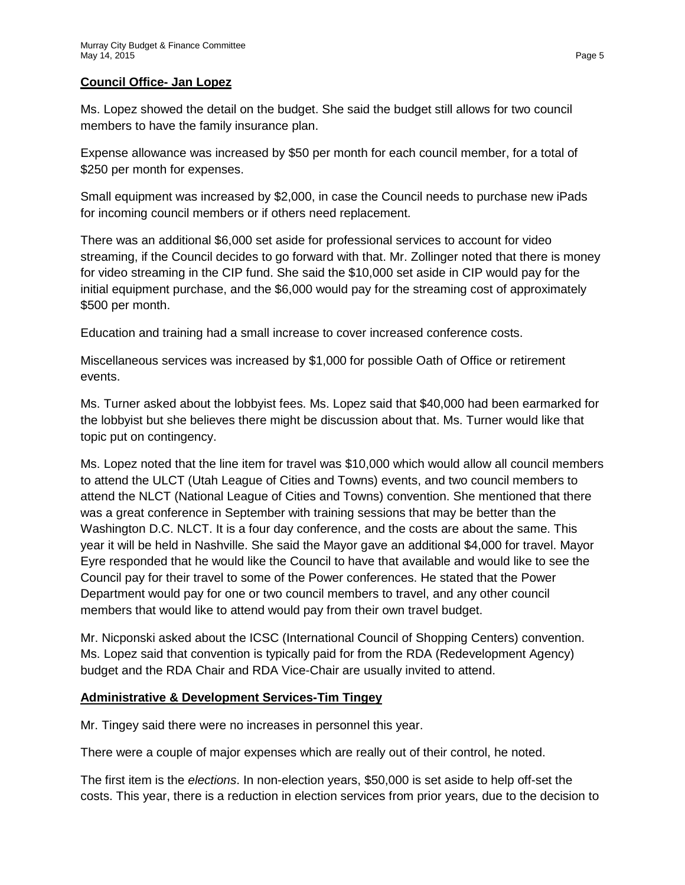### **Council Office- Jan Lopez**

Ms. Lopez showed the detail on the budget. She said the budget still allows for two council members to have the family insurance plan.

Expense allowance was increased by \$50 per month for each council member, for a total of \$250 per month for expenses.

Small equipment was increased by \$2,000, in case the Council needs to purchase new iPads for incoming council members or if others need replacement.

There was an additional \$6,000 set aside for professional services to account for video streaming, if the Council decides to go forward with that. Mr. Zollinger noted that there is money for video streaming in the CIP fund. She said the \$10,000 set aside in CIP would pay for the initial equipment purchase, and the \$6,000 would pay for the streaming cost of approximately \$500 per month.

Education and training had a small increase to cover increased conference costs.

Miscellaneous services was increased by \$1,000 for possible Oath of Office or retirement events.

Ms. Turner asked about the lobbyist fees. Ms. Lopez said that \$40,000 had been earmarked for the lobbyist but she believes there might be discussion about that. Ms. Turner would like that topic put on contingency.

Ms. Lopez noted that the line item for travel was \$10,000 which would allow all council members to attend the ULCT (Utah League of Cities and Towns) events, and two council members to attend the NLCT (National League of Cities and Towns) convention. She mentioned that there was a great conference in September with training sessions that may be better than the Washington D.C. NLCT. It is a four day conference, and the costs are about the same. This year it will be held in Nashville. She said the Mayor gave an additional \$4,000 for travel. Mayor Eyre responded that he would like the Council to have that available and would like to see the Council pay for their travel to some of the Power conferences. He stated that the Power Department would pay for one or two council members to travel, and any other council members that would like to attend would pay from their own travel budget.

Mr. Nicponski asked about the ICSC (International Council of Shopping Centers) convention. Ms. Lopez said that convention is typically paid for from the RDA (Redevelopment Agency) budget and the RDA Chair and RDA Vice-Chair are usually invited to attend.

## **Administrative & Development Services-Tim Tingey**

Mr. Tingey said there were no increases in personnel this year.

There were a couple of major expenses which are really out of their control, he noted.

The first item is the *elections*. In non-election years, \$50,000 is set aside to help off-set the costs. This year, there is a reduction in election services from prior years, due to the decision to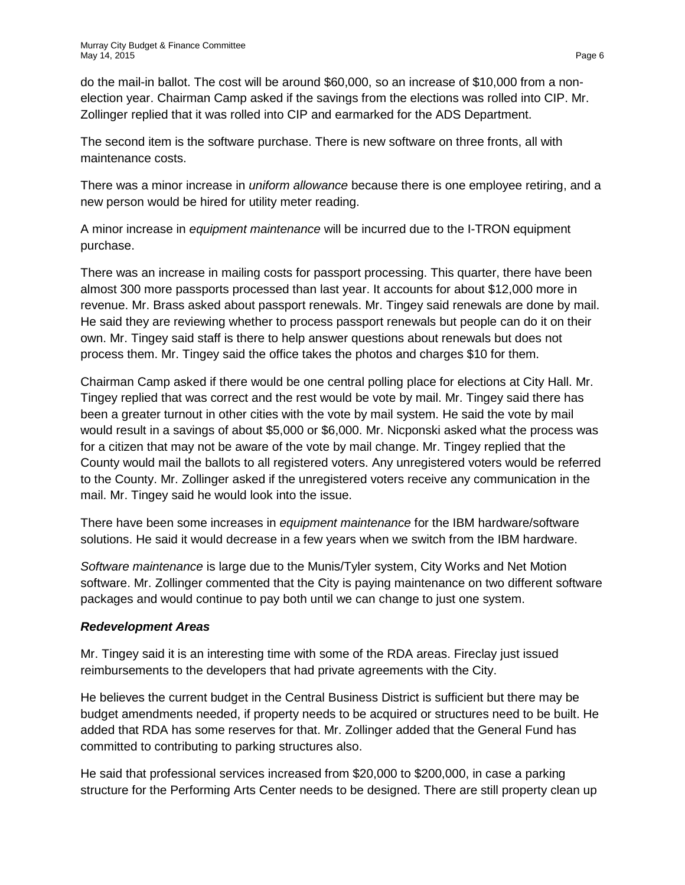do the mail-in ballot. The cost will be around \$60,000, so an increase of \$10,000 from a nonelection year. Chairman Camp asked if the savings from the elections was rolled into CIP. Mr. Zollinger replied that it was rolled into CIP and earmarked for the ADS Department.

The second item is the software purchase. There is new software on three fronts, all with maintenance costs.

There was a minor increase in *uniform allowance* because there is one employee retiring, and a new person would be hired for utility meter reading.

A minor increase in *equipment maintenance* will be incurred due to the I-TRON equipment purchase.

There was an increase in mailing costs for passport processing. This quarter, there have been almost 300 more passports processed than last year. It accounts for about \$12,000 more in revenue. Mr. Brass asked about passport renewals. Mr. Tingey said renewals are done by mail. He said they are reviewing whether to process passport renewals but people can do it on their own. Mr. Tingey said staff is there to help answer questions about renewals but does not process them. Mr. Tingey said the office takes the photos and charges \$10 for them.

Chairman Camp asked if there would be one central polling place for elections at City Hall. Mr. Tingey replied that was correct and the rest would be vote by mail. Mr. Tingey said there has been a greater turnout in other cities with the vote by mail system. He said the vote by mail would result in a savings of about \$5,000 or \$6,000. Mr. Nicponski asked what the process was for a citizen that may not be aware of the vote by mail change. Mr. Tingey replied that the County would mail the ballots to all registered voters. Any unregistered voters would be referred to the County. Mr. Zollinger asked if the unregistered voters receive any communication in the mail. Mr. Tingey said he would look into the issue.

There have been some increases in *equipment maintenance* for the IBM hardware/software solutions. He said it would decrease in a few years when we switch from the IBM hardware.

*Software maintenance* is large due to the Munis/Tyler system, City Works and Net Motion software. Mr. Zollinger commented that the City is paying maintenance on two different software packages and would continue to pay both until we can change to just one system.

## *Redevelopment Areas*

Mr. Tingey said it is an interesting time with some of the RDA areas. Fireclay just issued reimbursements to the developers that had private agreements with the City.

He believes the current budget in the Central Business District is sufficient but there may be budget amendments needed, if property needs to be acquired or structures need to be built. He added that RDA has some reserves for that. Mr. Zollinger added that the General Fund has committed to contributing to parking structures also.

He said that professional services increased from \$20,000 to \$200,000, in case a parking structure for the Performing Arts Center needs to be designed. There are still property clean up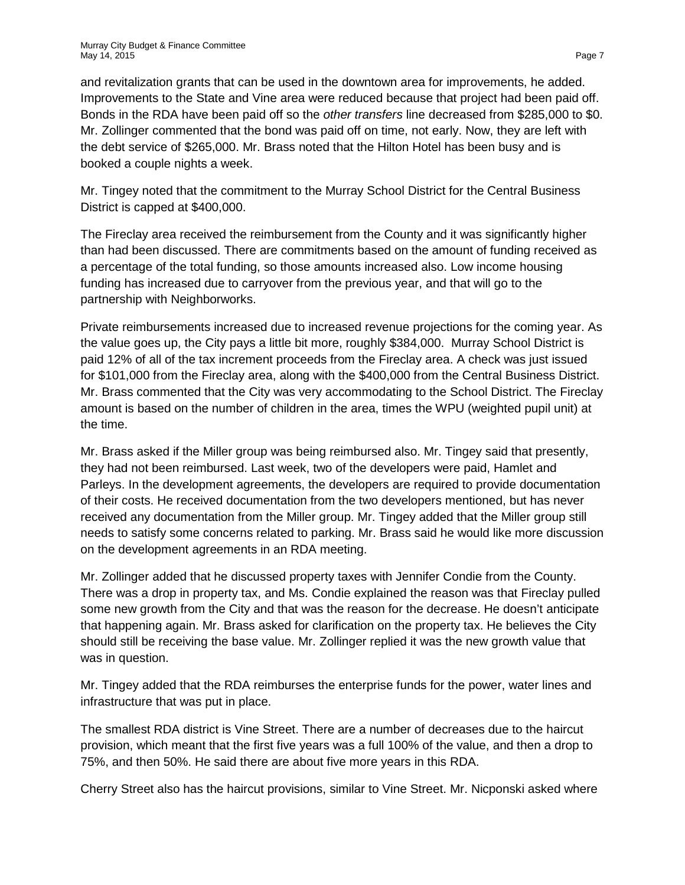and revitalization grants that can be used in the downtown area for improvements, he added. Improvements to the State and Vine area were reduced because that project had been paid off. Bonds in the RDA have been paid off so the *other transfers* line decreased from \$285,000 to \$0. Mr. Zollinger commented that the bond was paid off on time, not early. Now, they are left with the debt service of \$265,000. Mr. Brass noted that the Hilton Hotel has been busy and is booked a couple nights a week.

Mr. Tingey noted that the commitment to the Murray School District for the Central Business District is capped at \$400,000.

The Fireclay area received the reimbursement from the County and it was significantly higher than had been discussed. There are commitments based on the amount of funding received as a percentage of the total funding, so those amounts increased also. Low income housing funding has increased due to carryover from the previous year, and that will go to the partnership with Neighborworks.

Private reimbursements increased due to increased revenue projections for the coming year. As the value goes up, the City pays a little bit more, roughly \$384,000. Murray School District is paid 12% of all of the tax increment proceeds from the Fireclay area. A check was just issued for \$101,000 from the Fireclay area, along with the \$400,000 from the Central Business District. Mr. Brass commented that the City was very accommodating to the School District. The Fireclay amount is based on the number of children in the area, times the WPU (weighted pupil unit) at the time.

Mr. Brass asked if the Miller group was being reimbursed also. Mr. Tingey said that presently, they had not been reimbursed. Last week, two of the developers were paid, Hamlet and Parleys. In the development agreements, the developers are required to provide documentation of their costs. He received documentation from the two developers mentioned, but has never received any documentation from the Miller group. Mr. Tingey added that the Miller group still needs to satisfy some concerns related to parking. Mr. Brass said he would like more discussion on the development agreements in an RDA meeting.

Mr. Zollinger added that he discussed property taxes with Jennifer Condie from the County. There was a drop in property tax, and Ms. Condie explained the reason was that Fireclay pulled some new growth from the City and that was the reason for the decrease. He doesn't anticipate that happening again. Mr. Brass asked for clarification on the property tax. He believes the City should still be receiving the base value. Mr. Zollinger replied it was the new growth value that was in question.

Mr. Tingey added that the RDA reimburses the enterprise funds for the power, water lines and infrastructure that was put in place.

The smallest RDA district is Vine Street. There are a number of decreases due to the haircut provision, which meant that the first five years was a full 100% of the value, and then a drop to 75%, and then 50%. He said there are about five more years in this RDA.

Cherry Street also has the haircut provisions, similar to Vine Street. Mr. Nicponski asked where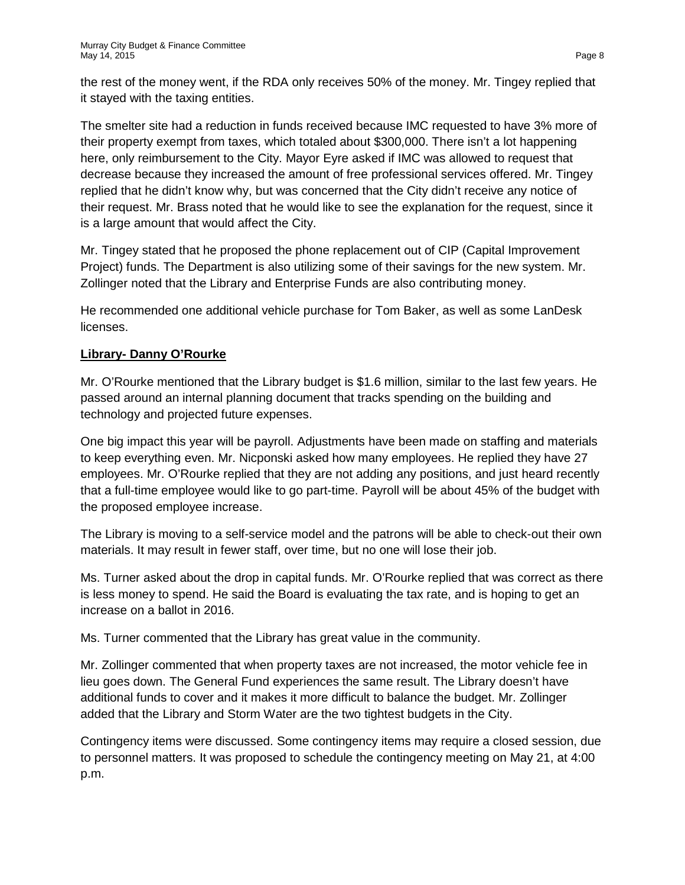the rest of the money went, if the RDA only receives 50% of the money. Mr. Tingey replied that it stayed with the taxing entities.

The smelter site had a reduction in funds received because IMC requested to have 3% more of their property exempt from taxes, which totaled about \$300,000. There isn't a lot happening here, only reimbursement to the City. Mayor Eyre asked if IMC was allowed to request that decrease because they increased the amount of free professional services offered. Mr. Tingey replied that he didn't know why, but was concerned that the City didn't receive any notice of their request. Mr. Brass noted that he would like to see the explanation for the request, since it is a large amount that would affect the City.

Mr. Tingey stated that he proposed the phone replacement out of CIP (Capital Improvement Project) funds. The Department is also utilizing some of their savings for the new system. Mr. Zollinger noted that the Library and Enterprise Funds are also contributing money.

He recommended one additional vehicle purchase for Tom Baker, as well as some LanDesk licenses.

# **Library- Danny O'Rourke**

Mr. O'Rourke mentioned that the Library budget is \$1.6 million, similar to the last few years. He passed around an internal planning document that tracks spending on the building and technology and projected future expenses.

One big impact this year will be payroll. Adjustments have been made on staffing and materials to keep everything even. Mr. Nicponski asked how many employees. He replied they have 27 employees. Mr. O'Rourke replied that they are not adding any positions, and just heard recently that a full-time employee would like to go part-time. Payroll will be about 45% of the budget with the proposed employee increase.

The Library is moving to a self-service model and the patrons will be able to check-out their own materials. It may result in fewer staff, over time, but no one will lose their job.

Ms. Turner asked about the drop in capital funds. Mr. O'Rourke replied that was correct as there is less money to spend. He said the Board is evaluating the tax rate, and is hoping to get an increase on a ballot in 2016.

Ms. Turner commented that the Library has great value in the community.

Mr. Zollinger commented that when property taxes are not increased, the motor vehicle fee in lieu goes down. The General Fund experiences the same result. The Library doesn't have additional funds to cover and it makes it more difficult to balance the budget. Mr. Zollinger added that the Library and Storm Water are the two tightest budgets in the City.

Contingency items were discussed. Some contingency items may require a closed session, due to personnel matters. It was proposed to schedule the contingency meeting on May 21, at 4:00 p.m.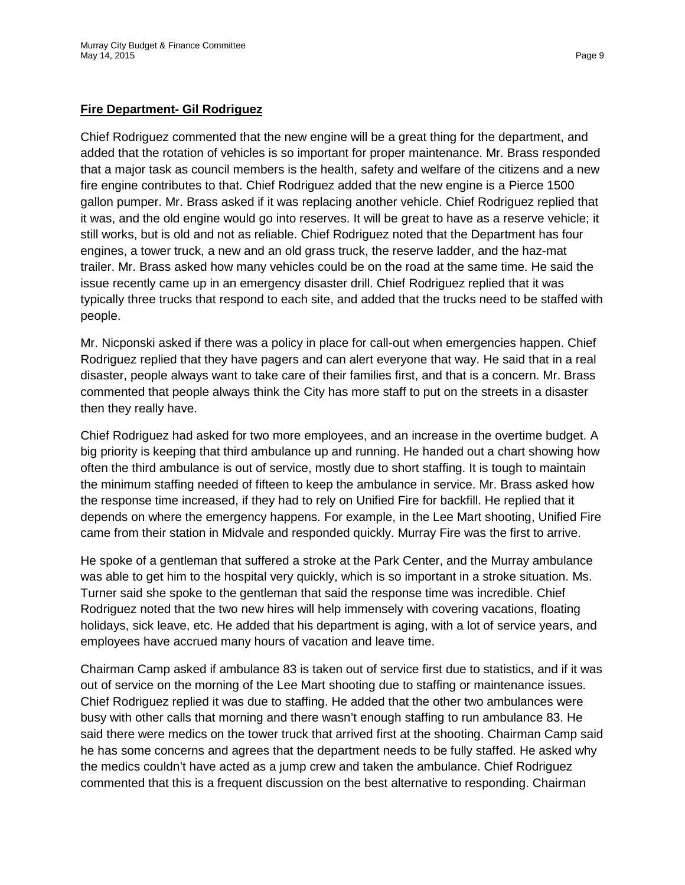#### **Fire Department- Gil Rodriguez**

Chief Rodriguez commented that the new engine will be a great thing for the department, and added that the rotation of vehicles is so important for proper maintenance. Mr. Brass responded that a major task as council members is the health, safety and welfare of the citizens and a new fire engine contributes to that. Chief Rodriguez added that the new engine is a Pierce 1500 gallon pumper. Mr. Brass asked if it was replacing another vehicle. Chief Rodriguez replied that it was, and the old engine would go into reserves. It will be great to have as a reserve vehicle; it still works, but is old and not as reliable. Chief Rodriguez noted that the Department has four engines, a tower truck, a new and an old grass truck, the reserve ladder, and the haz-mat trailer. Mr. Brass asked how many vehicles could be on the road at the same time. He said the issue recently came up in an emergency disaster drill. Chief Rodriguez replied that it was typically three trucks that respond to each site, and added that the trucks need to be staffed with people.

Mr. Nicponski asked if there was a policy in place for call-out when emergencies happen. Chief Rodriguez replied that they have pagers and can alert everyone that way. He said that in a real disaster, people always want to take care of their families first, and that is a concern. Mr. Brass commented that people always think the City has more staff to put on the streets in a disaster then they really have.

Chief Rodriguez had asked for two more employees, and an increase in the overtime budget. A big priority is keeping that third ambulance up and running. He handed out a chart showing how often the third ambulance is out of service, mostly due to short staffing. It is tough to maintain the minimum staffing needed of fifteen to keep the ambulance in service. Mr. Brass asked how the response time increased, if they had to rely on Unified Fire for backfill. He replied that it depends on where the emergency happens. For example, in the Lee Mart shooting, Unified Fire came from their station in Midvale and responded quickly. Murray Fire was the first to arrive.

He spoke of a gentleman that suffered a stroke at the Park Center, and the Murray ambulance was able to get him to the hospital very quickly, which is so important in a stroke situation. Ms. Turner said she spoke to the gentleman that said the response time was incredible. Chief Rodriguez noted that the two new hires will help immensely with covering vacations, floating holidays, sick leave, etc. He added that his department is aging, with a lot of service years, and employees have accrued many hours of vacation and leave time.

Chairman Camp asked if ambulance 83 is taken out of service first due to statistics, and if it was out of service on the morning of the Lee Mart shooting due to staffing or maintenance issues. Chief Rodriguez replied it was due to staffing. He added that the other two ambulances were busy with other calls that morning and there wasn't enough staffing to run ambulance 83. He said there were medics on the tower truck that arrived first at the shooting. Chairman Camp said he has some concerns and agrees that the department needs to be fully staffed. He asked why the medics couldn't have acted as a jump crew and taken the ambulance. Chief Rodriguez commented that this is a frequent discussion on the best alternative to responding. Chairman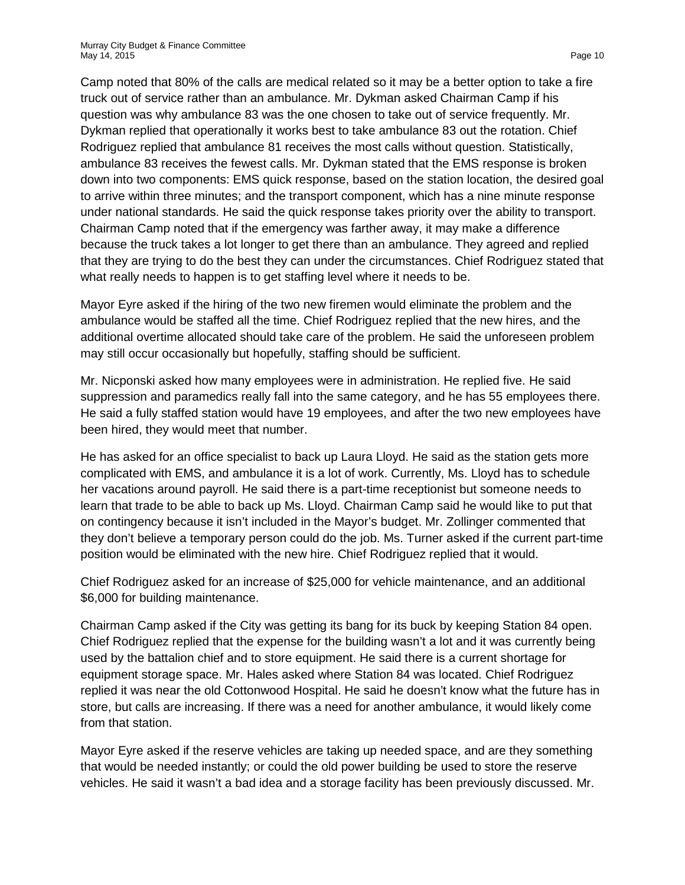Camp noted that 80% of the calls are medical related so it may be a better option to take a fire truck out of service rather than an ambulance. Mr. Dykman asked Chairman Camp if his question was why ambulance 83 was the one chosen to take out of service frequently. Mr. Dykman replied that operationally it works best to take ambulance 83 out the rotation. Chief Rodriguez replied that ambulance 81 receives the most calls without question. Statistically, ambulance 83 receives the fewest calls. Mr. Dykman stated that the EMS response is broken down into two components: EMS quick response, based on the station location, the desired goal to arrive within three minutes; and the transport component, which has a nine minute response under national standards. He said the quick response takes priority over the ability to transport. Chairman Camp noted that if the emergency was farther away, it may make a difference because the truck takes a lot longer to get there than an ambulance. They agreed and replied that they are trying to do the best they can under the circumstances. Chief Rodriguez stated that what really needs to happen is to get staffing level where it needs to be.

Mayor Eyre asked if the hiring of the two new firemen would eliminate the problem and the ambulance would be staffed all the time. Chief Rodriguez replied that the new hires, and the additional overtime allocated should take care of the problem. He said the unforeseen problem may still occur occasionally but hopefully, staffing should be sufficient.

Mr. Nicponski asked how many employees were in administration. He replied five. He said suppression and paramedics really fall into the same category, and he has 55 employees there. He said a fully staffed station would have 19 employees, and after the two new employees have been hired, they would meet that number.

He has asked for an office specialist to back up Laura Lloyd. He said as the station gets more complicated with EMS, and ambulance it is a lot of work. Currently, Ms. Lloyd has to schedule her vacations around payroll. He said there is a part-time receptionist but someone needs to learn that trade to be able to back up Ms. Lloyd. Chairman Camp said he would like to put that on contingency because it isn't included in the Mayor's budget. Mr. Zollinger commented that they don't believe a temporary person could do the job. Ms. Turner asked if the current part-time position would be eliminated with the new hire. Chief Rodriguez replied that it would.

Chief Rodriguez asked for an increase of \$25,000 for vehicle maintenance, and an additional \$6,000 for building maintenance.

Chairman Camp asked if the City was getting its bang for its buck by keeping Station 84 open. Chief Rodriguez replied that the expense for the building wasn't a lot and it was currently being used by the battalion chief and to store equipment. He said there is a current shortage for equipment storage space. Mr. Hales asked where Station 84 was located. Chief Rodriguez replied it was near the old Cottonwood Hospital. He said he doesn't know what the future has in store, but calls are increasing. If there was a need for another ambulance, it would likely come from that station.

Mayor Eyre asked if the reserve vehicles are taking up needed space, and are they something that would be needed instantly; or could the old power building be used to store the reserve vehicles. He said it wasn't a bad idea and a storage facility has been previously discussed. Mr.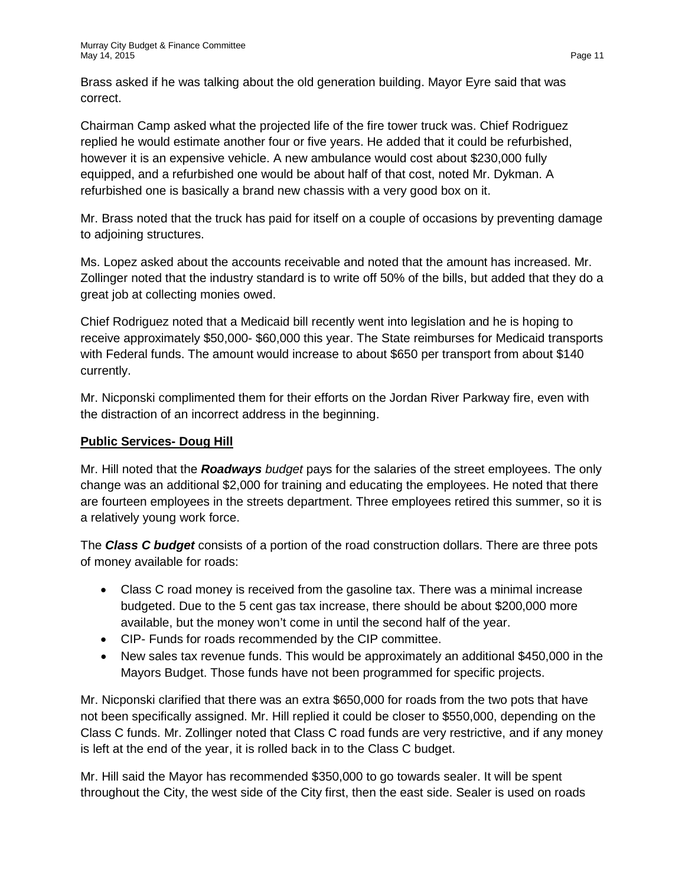Brass asked if he was talking about the old generation building. Mayor Eyre said that was correct.

Chairman Camp asked what the projected life of the fire tower truck was. Chief Rodriguez replied he would estimate another four or five years. He added that it could be refurbished, however it is an expensive vehicle. A new ambulance would cost about \$230,000 fully equipped, and a refurbished one would be about half of that cost, noted Mr. Dykman. A refurbished one is basically a brand new chassis with a very good box on it.

Mr. Brass noted that the truck has paid for itself on a couple of occasions by preventing damage to adjoining structures.

Ms. Lopez asked about the accounts receivable and noted that the amount has increased. Mr. Zollinger noted that the industry standard is to write off 50% of the bills, but added that they do a great job at collecting monies owed.

Chief Rodriguez noted that a Medicaid bill recently went into legislation and he is hoping to receive approximately \$50,000- \$60,000 this year. The State reimburses for Medicaid transports with Federal funds. The amount would increase to about \$650 per transport from about \$140 currently.

Mr. Nicponski complimented them for their efforts on the Jordan River Parkway fire, even with the distraction of an incorrect address in the beginning.

## **Public Services- Doug Hill**

Mr. Hill noted that the *Roadways budget* pays for the salaries of the street employees. The only change was an additional \$2,000 for training and educating the employees. He noted that there are fourteen employees in the streets department. Three employees retired this summer, so it is a relatively young work force.

The *Class C budget* consists of a portion of the road construction dollars. There are three pots of money available for roads:

- Class C road money is received from the gasoline tax. There was a minimal increase budgeted. Due to the 5 cent gas tax increase, there should be about \$200,000 more available, but the money won't come in until the second half of the year.
- CIP- Funds for roads recommended by the CIP committee.
- New sales tax revenue funds. This would be approximately an additional \$450,000 in the Mayors Budget. Those funds have not been programmed for specific projects.

Mr. Nicponski clarified that there was an extra \$650,000 for roads from the two pots that have not been specifically assigned. Mr. Hill replied it could be closer to \$550,000, depending on the Class C funds. Mr. Zollinger noted that Class C road funds are very restrictive, and if any money is left at the end of the year, it is rolled back in to the Class C budget.

Mr. Hill said the Mayor has recommended \$350,000 to go towards sealer. It will be spent throughout the City, the west side of the City first, then the east side. Sealer is used on roads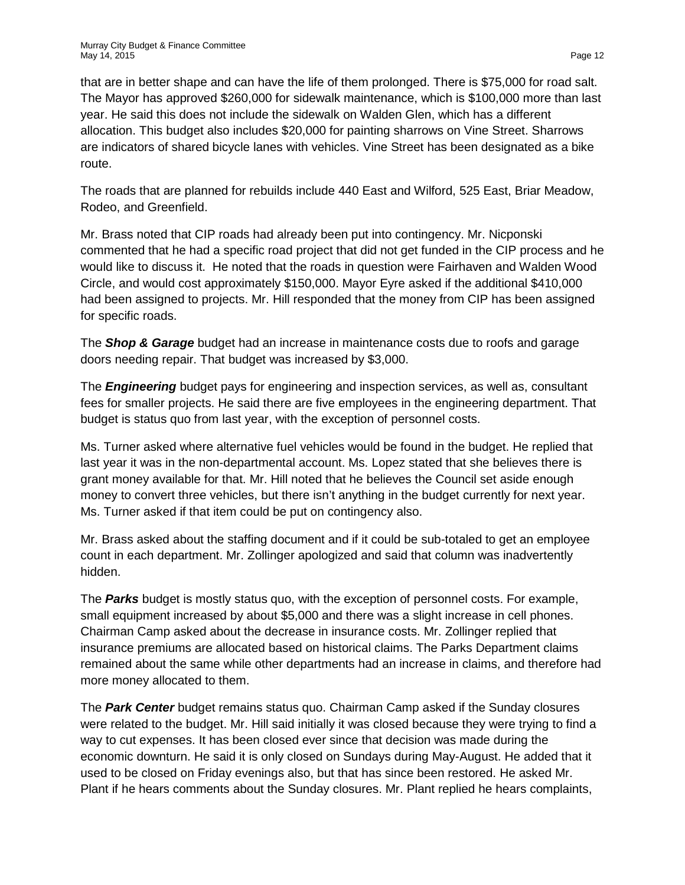that are in better shape and can have the life of them prolonged. There is \$75,000 for road salt. The Mayor has approved \$260,000 for sidewalk maintenance, which is \$100,000 more than last year. He said this does not include the sidewalk on Walden Glen, which has a different allocation. This budget also includes \$20,000 for painting sharrows on Vine Street. Sharrows are indicators of shared bicycle lanes with vehicles. Vine Street has been designated as a bike route.

The roads that are planned for rebuilds include 440 East and Wilford, 525 East, Briar Meadow, Rodeo, and Greenfield.

Mr. Brass noted that CIP roads had already been put into contingency. Mr. Nicponski commented that he had a specific road project that did not get funded in the CIP process and he would like to discuss it. He noted that the roads in question were Fairhaven and Walden Wood Circle, and would cost approximately \$150,000. Mayor Eyre asked if the additional \$410,000 had been assigned to projects. Mr. Hill responded that the money from CIP has been assigned for specific roads.

The *Shop & Garage* budget had an increase in maintenance costs due to roofs and garage doors needing repair. That budget was increased by \$3,000.

The *Engineering* budget pays for engineering and inspection services, as well as, consultant fees for smaller projects. He said there are five employees in the engineering department. That budget is status quo from last year, with the exception of personnel costs.

Ms. Turner asked where alternative fuel vehicles would be found in the budget. He replied that last year it was in the non-departmental account. Ms. Lopez stated that she believes there is grant money available for that. Mr. Hill noted that he believes the Council set aside enough money to convert three vehicles, but there isn't anything in the budget currently for next year. Ms. Turner asked if that item could be put on contingency also.

Mr. Brass asked about the staffing document and if it could be sub-totaled to get an employee count in each department. Mr. Zollinger apologized and said that column was inadvertently hidden.

The *Parks* budget is mostly status quo, with the exception of personnel costs. For example, small equipment increased by about \$5,000 and there was a slight increase in cell phones. Chairman Camp asked about the decrease in insurance costs. Mr. Zollinger replied that insurance premiums are allocated based on historical claims. The Parks Department claims remained about the same while other departments had an increase in claims, and therefore had more money allocated to them.

The *Park Center* budget remains status quo. Chairman Camp asked if the Sunday closures were related to the budget. Mr. Hill said initially it was closed because they were trying to find a way to cut expenses. It has been closed ever since that decision was made during the economic downturn. He said it is only closed on Sundays during May-August. He added that it used to be closed on Friday evenings also, but that has since been restored. He asked Mr. Plant if he hears comments about the Sunday closures. Mr. Plant replied he hears complaints,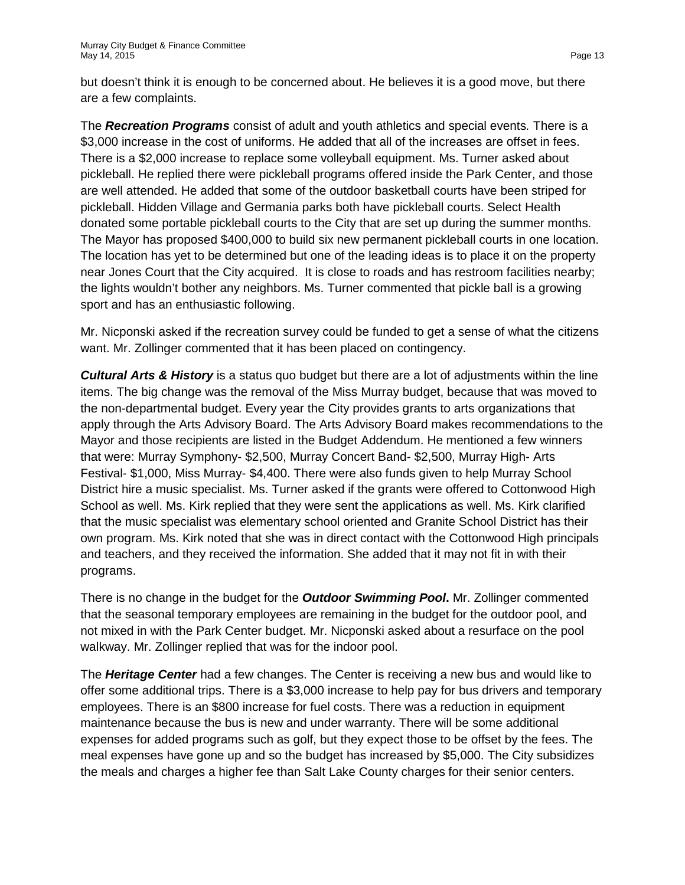but doesn't think it is enough to be concerned about. He believes it is a good move, but there are a few complaints.

The *Recreation Programs* consist of adult and youth athletics and special events*.* There is a \$3,000 increase in the cost of uniforms. He added that all of the increases are offset in fees. There is a \$2,000 increase to replace some volleyball equipment. Ms. Turner asked about pickleball. He replied there were pickleball programs offered inside the Park Center, and those are well attended. He added that some of the outdoor basketball courts have been striped for pickleball. Hidden Village and Germania parks both have pickleball courts. Select Health donated some portable pickleball courts to the City that are set up during the summer months. The Mayor has proposed \$400,000 to build six new permanent pickleball courts in one location. The location has yet to be determined but one of the leading ideas is to place it on the property near Jones Court that the City acquired. It is close to roads and has restroom facilities nearby; the lights wouldn't bother any neighbors. Ms. Turner commented that pickle ball is a growing sport and has an enthusiastic following.

Mr. Nicponski asked if the recreation survey could be funded to get a sense of what the citizens want. Mr. Zollinger commented that it has been placed on contingency.

*Cultural Arts & History* is a status quo budget but there are a lot of adjustments within the line items. The big change was the removal of the Miss Murray budget, because that was moved to the non-departmental budget. Every year the City provides grants to arts organizations that apply through the Arts Advisory Board. The Arts Advisory Board makes recommendations to the Mayor and those recipients are listed in the Budget Addendum. He mentioned a few winners that were: Murray Symphony- \$2,500, Murray Concert Band- \$2,500, Murray High- Arts Festival- \$1,000, Miss Murray- \$4,400. There were also funds given to help Murray School District hire a music specialist. Ms. Turner asked if the grants were offered to Cottonwood High School as well. Ms. Kirk replied that they were sent the applications as well. Ms. Kirk clarified that the music specialist was elementary school oriented and Granite School District has their own program. Ms. Kirk noted that she was in direct contact with the Cottonwood High principals and teachers, and they received the information. She added that it may not fit in with their programs.

There is no change in the budget for the *Outdoor Swimming Pool***.** Mr. Zollinger commented that the seasonal temporary employees are remaining in the budget for the outdoor pool, and not mixed in with the Park Center budget. Mr. Nicponski asked about a resurface on the pool walkway. Mr. Zollinger replied that was for the indoor pool.

The *Heritage Center* had a few changes. The Center is receiving a new bus and would like to offer some additional trips. There is a \$3,000 increase to help pay for bus drivers and temporary employees. There is an \$800 increase for fuel costs. There was a reduction in equipment maintenance because the bus is new and under warranty. There will be some additional expenses for added programs such as golf, but they expect those to be offset by the fees. The meal expenses have gone up and so the budget has increased by \$5,000. The City subsidizes the meals and charges a higher fee than Salt Lake County charges for their senior centers.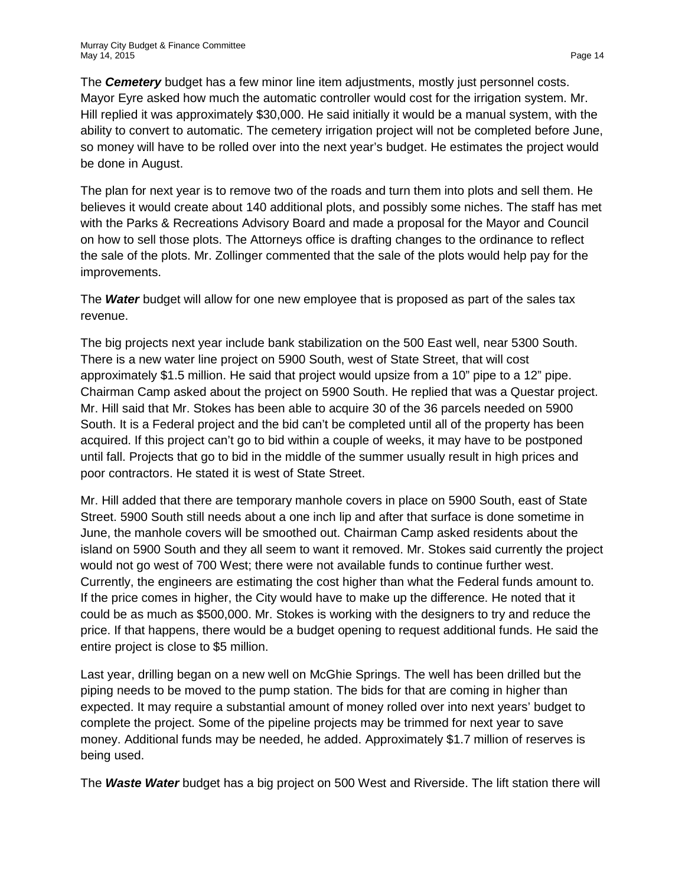The *Cemetery* budget has a few minor line item adjustments, mostly just personnel costs. Mayor Eyre asked how much the automatic controller would cost for the irrigation system. Mr. Hill replied it was approximately \$30,000. He said initially it would be a manual system, with the ability to convert to automatic. The cemetery irrigation project will not be completed before June, so money will have to be rolled over into the next year's budget. He estimates the project would be done in August.

The plan for next year is to remove two of the roads and turn them into plots and sell them. He believes it would create about 140 additional plots, and possibly some niches. The staff has met with the Parks & Recreations Advisory Board and made a proposal for the Mayor and Council on how to sell those plots. The Attorneys office is drafting changes to the ordinance to reflect the sale of the plots. Mr. Zollinger commented that the sale of the plots would help pay for the improvements.

The *Water* budget will allow for one new employee that is proposed as part of the sales tax revenue.

The big projects next year include bank stabilization on the 500 East well, near 5300 South. There is a new water line project on 5900 South, west of State Street, that will cost approximately \$1.5 million. He said that project would upsize from a 10" pipe to a 12" pipe. Chairman Camp asked about the project on 5900 South. He replied that was a Questar project. Mr. Hill said that Mr. Stokes has been able to acquire 30 of the 36 parcels needed on 5900 South. It is a Federal project and the bid can't be completed until all of the property has been acquired. If this project can't go to bid within a couple of weeks, it may have to be postponed until fall. Projects that go to bid in the middle of the summer usually result in high prices and poor contractors. He stated it is west of State Street.

Mr. Hill added that there are temporary manhole covers in place on 5900 South, east of State Street. 5900 South still needs about a one inch lip and after that surface is done sometime in June, the manhole covers will be smoothed out. Chairman Camp asked residents about the island on 5900 South and they all seem to want it removed. Mr. Stokes said currently the project would not go west of 700 West; there were not available funds to continue further west. Currently, the engineers are estimating the cost higher than what the Federal funds amount to. If the price comes in higher, the City would have to make up the difference. He noted that it could be as much as \$500,000. Mr. Stokes is working with the designers to try and reduce the price. If that happens, there would be a budget opening to request additional funds. He said the entire project is close to \$5 million.

Last year, drilling began on a new well on McGhie Springs. The well has been drilled but the piping needs to be moved to the pump station. The bids for that are coming in higher than expected. It may require a substantial amount of money rolled over into next years' budget to complete the project. Some of the pipeline projects may be trimmed for next year to save money. Additional funds may be needed, he added. Approximately \$1.7 million of reserves is being used.

The *Waste Water* budget has a big project on 500 West and Riverside. The lift station there will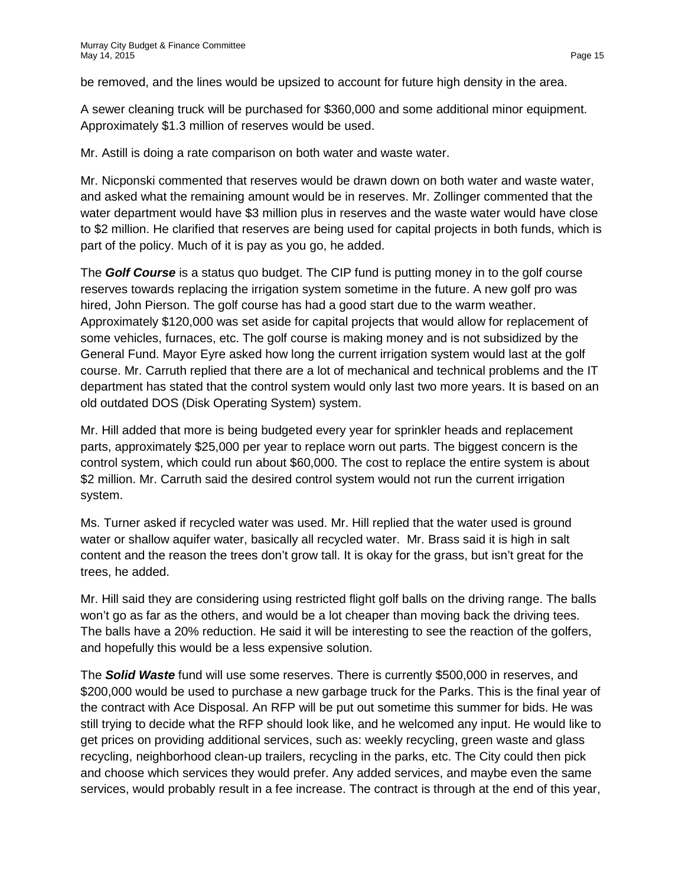be removed, and the lines would be upsized to account for future high density in the area.

A sewer cleaning truck will be purchased for \$360,000 and some additional minor equipment. Approximately \$1.3 million of reserves would be used.

Mr. Astill is doing a rate comparison on both water and waste water.

Mr. Nicponski commented that reserves would be drawn down on both water and waste water, and asked what the remaining amount would be in reserves. Mr. Zollinger commented that the water department would have \$3 million plus in reserves and the waste water would have close to \$2 million. He clarified that reserves are being used for capital projects in both funds, which is part of the policy. Much of it is pay as you go, he added.

The *Golf Course* is a status quo budget. The CIP fund is putting money in to the golf course reserves towards replacing the irrigation system sometime in the future. A new golf pro was hired, John Pierson. The golf course has had a good start due to the warm weather. Approximately \$120,000 was set aside for capital projects that would allow for replacement of some vehicles, furnaces, etc. The golf course is making money and is not subsidized by the General Fund. Mayor Eyre asked how long the current irrigation system would last at the golf course. Mr. Carruth replied that there are a lot of mechanical and technical problems and the IT department has stated that the control system would only last two more years. It is based on an old outdated DOS (Disk Operating System) system.

Mr. Hill added that more is being budgeted every year for sprinkler heads and replacement parts, approximately \$25,000 per year to replace worn out parts. The biggest concern is the control system, which could run about \$60,000. The cost to replace the entire system is about \$2 million. Mr. Carruth said the desired control system would not run the current irrigation system.

Ms. Turner asked if recycled water was used. Mr. Hill replied that the water used is ground water or shallow aquifer water, basically all recycled water. Mr. Brass said it is high in salt content and the reason the trees don't grow tall. It is okay for the grass, but isn't great for the trees, he added.

Mr. Hill said they are considering using restricted flight golf balls on the driving range. The balls won't go as far as the others, and would be a lot cheaper than moving back the driving tees. The balls have a 20% reduction. He said it will be interesting to see the reaction of the golfers, and hopefully this would be a less expensive solution.

The *Solid Waste* fund will use some reserves. There is currently \$500,000 in reserves, and \$200,000 would be used to purchase a new garbage truck for the Parks. This is the final year of the contract with Ace Disposal. An RFP will be put out sometime this summer for bids. He was still trying to decide what the RFP should look like, and he welcomed any input. He would like to get prices on providing additional services, such as: weekly recycling, green waste and glass recycling, neighborhood clean-up trailers, recycling in the parks, etc. The City could then pick and choose which services they would prefer. Any added services, and maybe even the same services, would probably result in a fee increase. The contract is through at the end of this year,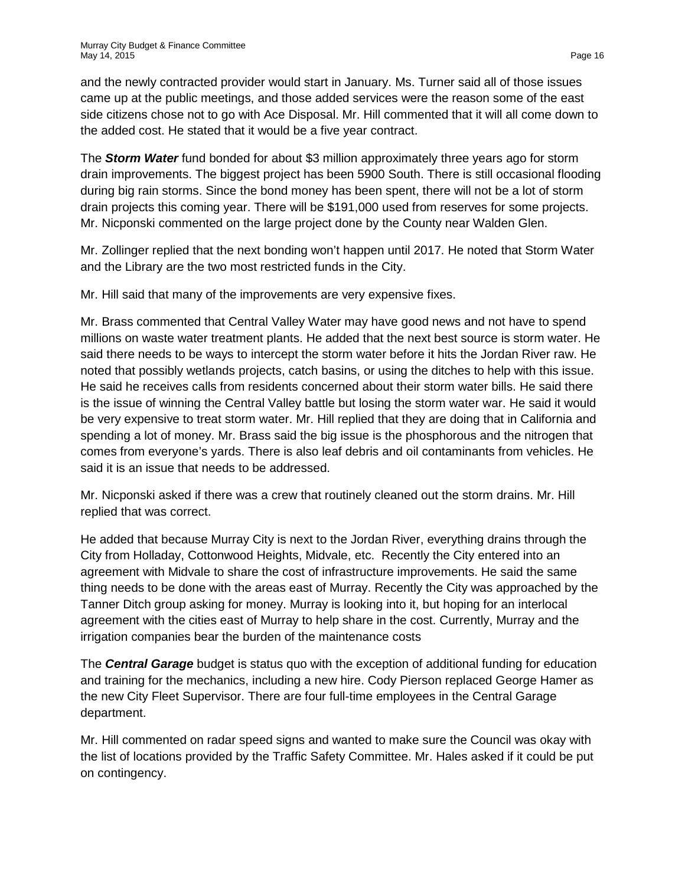and the newly contracted provider would start in January. Ms. Turner said all of those issues came up at the public meetings, and those added services were the reason some of the east side citizens chose not to go with Ace Disposal. Mr. Hill commented that it will all come down to the added cost. He stated that it would be a five year contract.

The *Storm Water* fund bonded for about \$3 million approximately three years ago for storm drain improvements. The biggest project has been 5900 South. There is still occasional flooding during big rain storms. Since the bond money has been spent, there will not be a lot of storm drain projects this coming year. There will be \$191,000 used from reserves for some projects. Mr. Nicponski commented on the large project done by the County near Walden Glen.

Mr. Zollinger replied that the next bonding won't happen until 2017. He noted that Storm Water and the Library are the two most restricted funds in the City.

Mr. Hill said that many of the improvements are very expensive fixes.

Mr. Brass commented that Central Valley Water may have good news and not have to spend millions on waste water treatment plants. He added that the next best source is storm water. He said there needs to be ways to intercept the storm water before it hits the Jordan River raw. He noted that possibly wetlands projects, catch basins, or using the ditches to help with this issue. He said he receives calls from residents concerned about their storm water bills. He said there is the issue of winning the Central Valley battle but losing the storm water war. He said it would be very expensive to treat storm water. Mr. Hill replied that they are doing that in California and spending a lot of money. Mr. Brass said the big issue is the phosphorous and the nitrogen that comes from everyone's yards. There is also leaf debris and oil contaminants from vehicles. He said it is an issue that needs to be addressed.

Mr. Nicponski asked if there was a crew that routinely cleaned out the storm drains. Mr. Hill replied that was correct.

He added that because Murray City is next to the Jordan River, everything drains through the City from Holladay, Cottonwood Heights, Midvale, etc. Recently the City entered into an agreement with Midvale to share the cost of infrastructure improvements. He said the same thing needs to be done with the areas east of Murray. Recently the City was approached by the Tanner Ditch group asking for money. Murray is looking into it, but hoping for an interlocal agreement with the cities east of Murray to help share in the cost. Currently, Murray and the irrigation companies bear the burden of the maintenance costs

The *Central Garage* budget is status quo with the exception of additional funding for education and training for the mechanics, including a new hire. Cody Pierson replaced George Hamer as the new City Fleet Supervisor. There are four full-time employees in the Central Garage department.

Mr. Hill commented on radar speed signs and wanted to make sure the Council was okay with the list of locations provided by the Traffic Safety Committee. Mr. Hales asked if it could be put on contingency.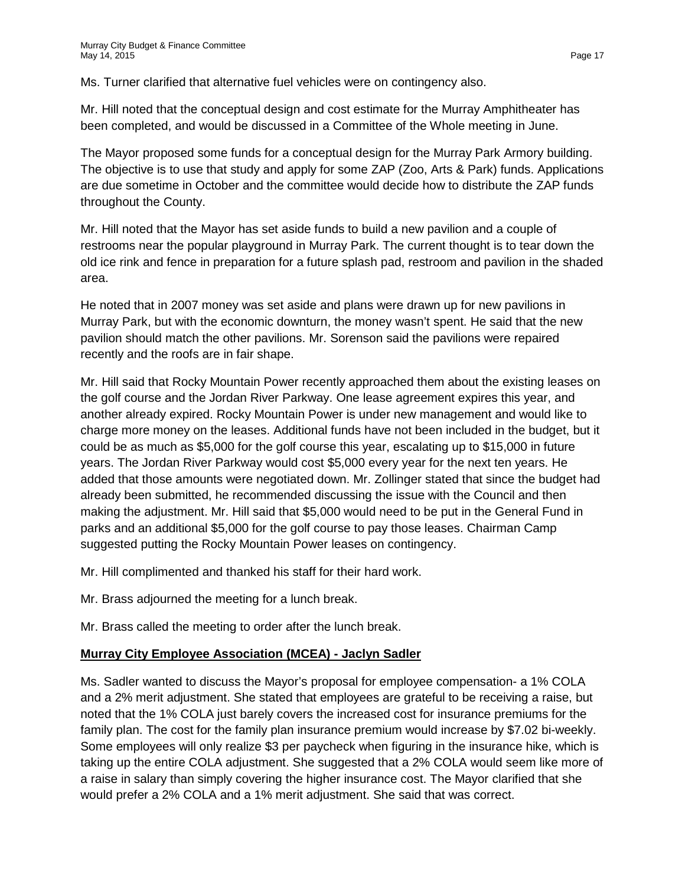Ms. Turner clarified that alternative fuel vehicles were on contingency also.

Mr. Hill noted that the conceptual design and cost estimate for the Murray Amphitheater has been completed, and would be discussed in a Committee of the Whole meeting in June.

The Mayor proposed some funds for a conceptual design for the Murray Park Armory building. The objective is to use that study and apply for some ZAP (Zoo, Arts & Park) funds. Applications are due sometime in October and the committee would decide how to distribute the ZAP funds throughout the County.

Mr. Hill noted that the Mayor has set aside funds to build a new pavilion and a couple of restrooms near the popular playground in Murray Park. The current thought is to tear down the old ice rink and fence in preparation for a future splash pad, restroom and pavilion in the shaded area.

He noted that in 2007 money was set aside and plans were drawn up for new pavilions in Murray Park, but with the economic downturn, the money wasn't spent. He said that the new pavilion should match the other pavilions. Mr. Sorenson said the pavilions were repaired recently and the roofs are in fair shape.

Mr. Hill said that Rocky Mountain Power recently approached them about the existing leases on the golf course and the Jordan River Parkway. One lease agreement expires this year, and another already expired. Rocky Mountain Power is under new management and would like to charge more money on the leases. Additional funds have not been included in the budget, but it could be as much as \$5,000 for the golf course this year, escalating up to \$15,000 in future years. The Jordan River Parkway would cost \$5,000 every year for the next ten years. He added that those amounts were negotiated down. Mr. Zollinger stated that since the budget had already been submitted, he recommended discussing the issue with the Council and then making the adjustment. Mr. Hill said that \$5,000 would need to be put in the General Fund in parks and an additional \$5,000 for the golf course to pay those leases. Chairman Camp suggested putting the Rocky Mountain Power leases on contingency.

Mr. Hill complimented and thanked his staff for their hard work.

Mr. Brass adjourned the meeting for a lunch break.

Mr. Brass called the meeting to order after the lunch break.

#### **Murray City Employee Association (MCEA) - Jaclyn Sadler**

Ms. Sadler wanted to discuss the Mayor's proposal for employee compensation- a 1% COLA and a 2% merit adjustment. She stated that employees are grateful to be receiving a raise, but noted that the 1% COLA just barely covers the increased cost for insurance premiums for the family plan. The cost for the family plan insurance premium would increase by \$7.02 bi-weekly. Some employees will only realize \$3 per paycheck when figuring in the insurance hike, which is taking up the entire COLA adjustment. She suggested that a 2% COLA would seem like more of a raise in salary than simply covering the higher insurance cost. The Mayor clarified that she would prefer a 2% COLA and a 1% merit adjustment. She said that was correct.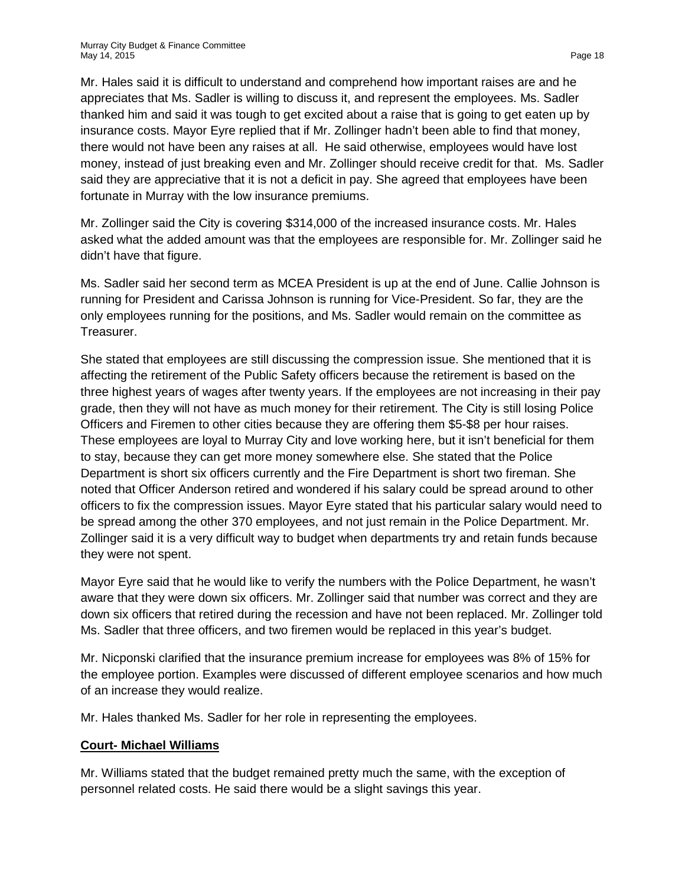Mr. Hales said it is difficult to understand and comprehend how important raises are and he appreciates that Ms. Sadler is willing to discuss it, and represent the employees. Ms. Sadler thanked him and said it was tough to get excited about a raise that is going to get eaten up by insurance costs. Mayor Eyre replied that if Mr. Zollinger hadn't been able to find that money, there would not have been any raises at all. He said otherwise, employees would have lost money, instead of just breaking even and Mr. Zollinger should receive credit for that. Ms. Sadler said they are appreciative that it is not a deficit in pay. She agreed that employees have been fortunate in Murray with the low insurance premiums.

Mr. Zollinger said the City is covering \$314,000 of the increased insurance costs. Mr. Hales asked what the added amount was that the employees are responsible for. Mr. Zollinger said he didn't have that figure.

Ms. Sadler said her second term as MCEA President is up at the end of June. Callie Johnson is running for President and Carissa Johnson is running for Vice-President. So far, they are the only employees running for the positions, and Ms. Sadler would remain on the committee as Treasurer.

She stated that employees are still discussing the compression issue. She mentioned that it is affecting the retirement of the Public Safety officers because the retirement is based on the three highest years of wages after twenty years. If the employees are not increasing in their pay grade, then they will not have as much money for their retirement. The City is still losing Police Officers and Firemen to other cities because they are offering them \$5-\$8 per hour raises. These employees are loyal to Murray City and love working here, but it isn't beneficial for them to stay, because they can get more money somewhere else. She stated that the Police Department is short six officers currently and the Fire Department is short two fireman. She noted that Officer Anderson retired and wondered if his salary could be spread around to other officers to fix the compression issues. Mayor Eyre stated that his particular salary would need to be spread among the other 370 employees, and not just remain in the Police Department. Mr. Zollinger said it is a very difficult way to budget when departments try and retain funds because they were not spent.

Mayor Eyre said that he would like to verify the numbers with the Police Department, he wasn't aware that they were down six officers. Mr. Zollinger said that number was correct and they are down six officers that retired during the recession and have not been replaced. Mr. Zollinger told Ms. Sadler that three officers, and two firemen would be replaced in this year's budget.

Mr. Nicponski clarified that the insurance premium increase for employees was 8% of 15% for the employee portion. Examples were discussed of different employee scenarios and how much of an increase they would realize.

Mr. Hales thanked Ms. Sadler for her role in representing the employees.

## **Court- Michael Williams**

Mr. Williams stated that the budget remained pretty much the same, with the exception of personnel related costs. He said there would be a slight savings this year.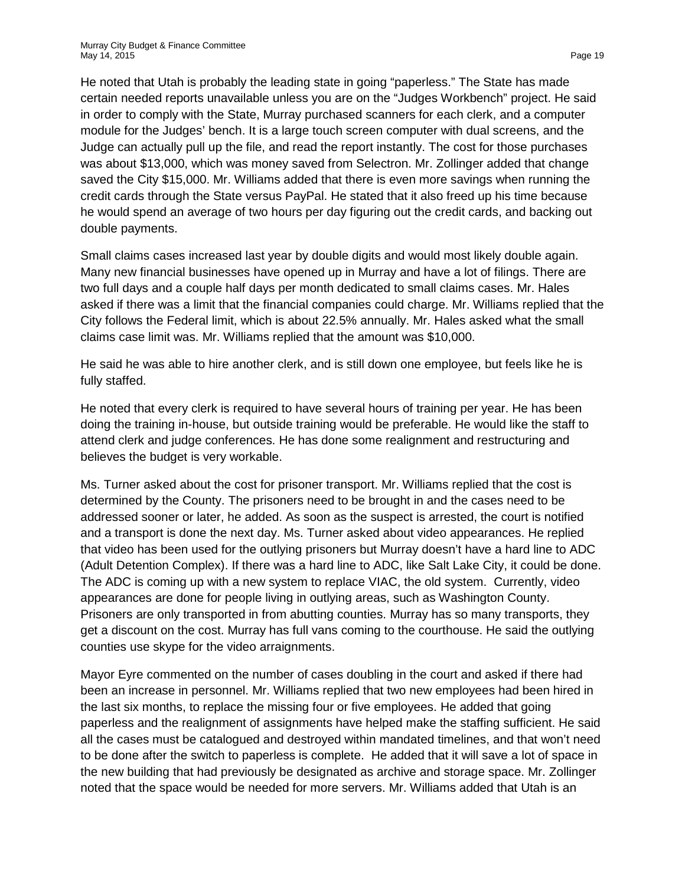He noted that Utah is probably the leading state in going "paperless." The State has made certain needed reports unavailable unless you are on the "Judges Workbench" project. He said in order to comply with the State, Murray purchased scanners for each clerk, and a computer module for the Judges' bench. It is a large touch screen computer with dual screens, and the Judge can actually pull up the file, and read the report instantly. The cost for those purchases was about \$13,000, which was money saved from Selectron. Mr. Zollinger added that change saved the City \$15,000. Mr. Williams added that there is even more savings when running the credit cards through the State versus PayPal. He stated that it also freed up his time because he would spend an average of two hours per day figuring out the credit cards, and backing out double payments.

Small claims cases increased last year by double digits and would most likely double again. Many new financial businesses have opened up in Murray and have a lot of filings. There are two full days and a couple half days per month dedicated to small claims cases. Mr. Hales asked if there was a limit that the financial companies could charge. Mr. Williams replied that the City follows the Federal limit, which is about 22.5% annually. Mr. Hales asked what the small claims case limit was. Mr. Williams replied that the amount was \$10,000.

He said he was able to hire another clerk, and is still down one employee, but feels like he is fully staffed.

He noted that every clerk is required to have several hours of training per year. He has been doing the training in-house, but outside training would be preferable. He would like the staff to attend clerk and judge conferences. He has done some realignment and restructuring and believes the budget is very workable.

Ms. Turner asked about the cost for prisoner transport. Mr. Williams replied that the cost is determined by the County. The prisoners need to be brought in and the cases need to be addressed sooner or later, he added. As soon as the suspect is arrested, the court is notified and a transport is done the next day. Ms. Turner asked about video appearances. He replied that video has been used for the outlying prisoners but Murray doesn't have a hard line to ADC (Adult Detention Complex). If there was a hard line to ADC, like Salt Lake City, it could be done. The ADC is coming up with a new system to replace VIAC, the old system. Currently, video appearances are done for people living in outlying areas, such as Washington County. Prisoners are only transported in from abutting counties. Murray has so many transports, they get a discount on the cost. Murray has full vans coming to the courthouse. He said the outlying counties use skype for the video arraignments.

Mayor Eyre commented on the number of cases doubling in the court and asked if there had been an increase in personnel. Mr. Williams replied that two new employees had been hired in the last six months, to replace the missing four or five employees. He added that going paperless and the realignment of assignments have helped make the staffing sufficient. He said all the cases must be catalogued and destroyed within mandated timelines, and that won't need to be done after the switch to paperless is complete. He added that it will save a lot of space in the new building that had previously be designated as archive and storage space. Mr. Zollinger noted that the space would be needed for more servers. Mr. Williams added that Utah is an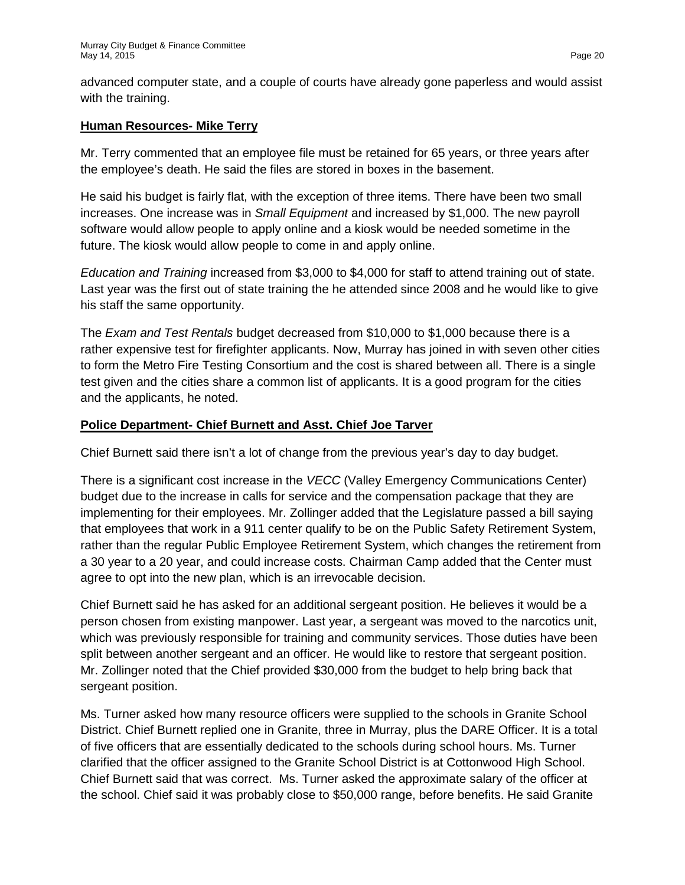advanced computer state, and a couple of courts have already gone paperless and would assist with the training.

### **Human Resources- Mike Terry**

Mr. Terry commented that an employee file must be retained for 65 years, or three years after the employee's death. He said the files are stored in boxes in the basement.

He said his budget is fairly flat, with the exception of three items. There have been two small increases. One increase was in *Small Equipment* and increased by \$1,000. The new payroll software would allow people to apply online and a kiosk would be needed sometime in the future. The kiosk would allow people to come in and apply online.

*Education and Training* increased from \$3,000 to \$4,000 for staff to attend training out of state. Last year was the first out of state training the he attended since 2008 and he would like to give his staff the same opportunity.

The *Exam and Test Rentals* budget decreased from \$10,000 to \$1,000 because there is a rather expensive test for firefighter applicants. Now, Murray has joined in with seven other cities to form the Metro Fire Testing Consortium and the cost is shared between all. There is a single test given and the cities share a common list of applicants. It is a good program for the cities and the applicants, he noted.

### **Police Department- Chief Burnett and Asst. Chief Joe Tarver**

Chief Burnett said there isn't a lot of change from the previous year's day to day budget.

There is a significant cost increase in the *VECC* (Valley Emergency Communications Center) budget due to the increase in calls for service and the compensation package that they are implementing for their employees. Mr. Zollinger added that the Legislature passed a bill saying that employees that work in a 911 center qualify to be on the Public Safety Retirement System, rather than the regular Public Employee Retirement System, which changes the retirement from a 30 year to a 20 year, and could increase costs. Chairman Camp added that the Center must agree to opt into the new plan, which is an irrevocable decision.

Chief Burnett said he has asked for an additional sergeant position. He believes it would be a person chosen from existing manpower. Last year, a sergeant was moved to the narcotics unit, which was previously responsible for training and community services. Those duties have been split between another sergeant and an officer. He would like to restore that sergeant position. Mr. Zollinger noted that the Chief provided \$30,000 from the budget to help bring back that sergeant position.

Ms. Turner asked how many resource officers were supplied to the schools in Granite School District. Chief Burnett replied one in Granite, three in Murray, plus the DARE Officer. It is a total of five officers that are essentially dedicated to the schools during school hours. Ms. Turner clarified that the officer assigned to the Granite School District is at Cottonwood High School. Chief Burnett said that was correct. Ms. Turner asked the approximate salary of the officer at the school. Chief said it was probably close to \$50,000 range, before benefits. He said Granite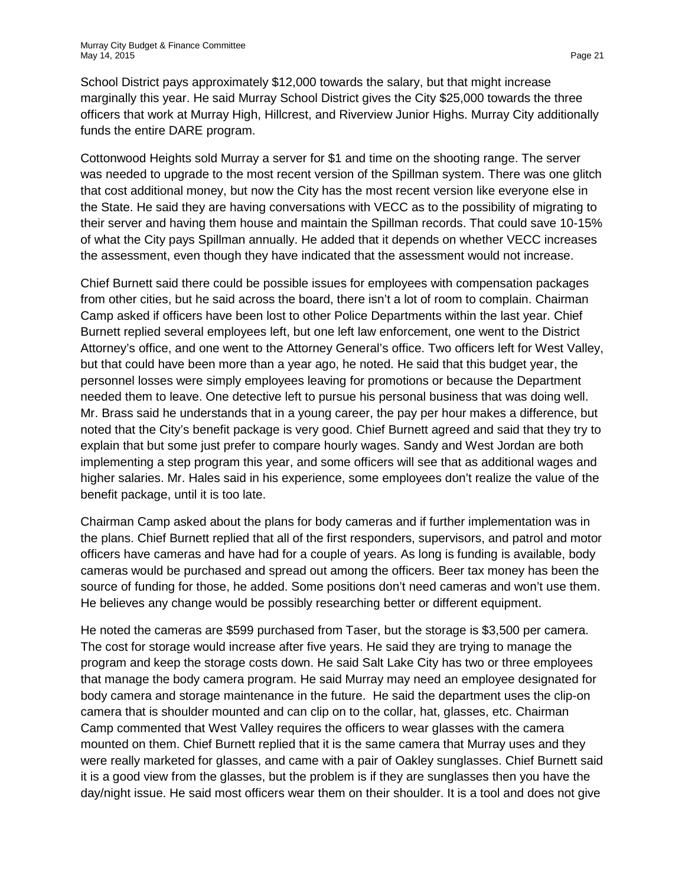School District pays approximately \$12,000 towards the salary, but that might increase marginally this year. He said Murray School District gives the City \$25,000 towards the three officers that work at Murray High, Hillcrest, and Riverview Junior Highs. Murray City additionally funds the entire DARE program.

Cottonwood Heights sold Murray a server for \$1 and time on the shooting range. The server was needed to upgrade to the most recent version of the Spillman system. There was one glitch that cost additional money, but now the City has the most recent version like everyone else in the State. He said they are having conversations with VECC as to the possibility of migrating to their server and having them house and maintain the Spillman records. That could save 10-15% of what the City pays Spillman annually. He added that it depends on whether VECC increases the assessment, even though they have indicated that the assessment would not increase.

Chief Burnett said there could be possible issues for employees with compensation packages from other cities, but he said across the board, there isn't a lot of room to complain. Chairman Camp asked if officers have been lost to other Police Departments within the last year. Chief Burnett replied several employees left, but one left law enforcement, one went to the District Attorney's office, and one went to the Attorney General's office. Two officers left for West Valley, but that could have been more than a year ago, he noted. He said that this budget year, the personnel losses were simply employees leaving for promotions or because the Department needed them to leave. One detective left to pursue his personal business that was doing well. Mr. Brass said he understands that in a young career, the pay per hour makes a difference, but noted that the City's benefit package is very good. Chief Burnett agreed and said that they try to explain that but some just prefer to compare hourly wages. Sandy and West Jordan are both implementing a step program this year, and some officers will see that as additional wages and higher salaries. Mr. Hales said in his experience, some employees don't realize the value of the benefit package, until it is too late.

Chairman Camp asked about the plans for body cameras and if further implementation was in the plans. Chief Burnett replied that all of the first responders, supervisors, and patrol and motor officers have cameras and have had for a couple of years. As long is funding is available, body cameras would be purchased and spread out among the officers. Beer tax money has been the source of funding for those, he added. Some positions don't need cameras and won't use them. He believes any change would be possibly researching better or different equipment.

He noted the cameras are \$599 purchased from Taser, but the storage is \$3,500 per camera. The cost for storage would increase after five years. He said they are trying to manage the program and keep the storage costs down. He said Salt Lake City has two or three employees that manage the body camera program. He said Murray may need an employee designated for body camera and storage maintenance in the future. He said the department uses the clip-on camera that is shoulder mounted and can clip on to the collar, hat, glasses, etc. Chairman Camp commented that West Valley requires the officers to wear glasses with the camera mounted on them. Chief Burnett replied that it is the same camera that Murray uses and they were really marketed for glasses, and came with a pair of Oakley sunglasses. Chief Burnett said it is a good view from the glasses, but the problem is if they are sunglasses then you have the day/night issue. He said most officers wear them on their shoulder. It is a tool and does not give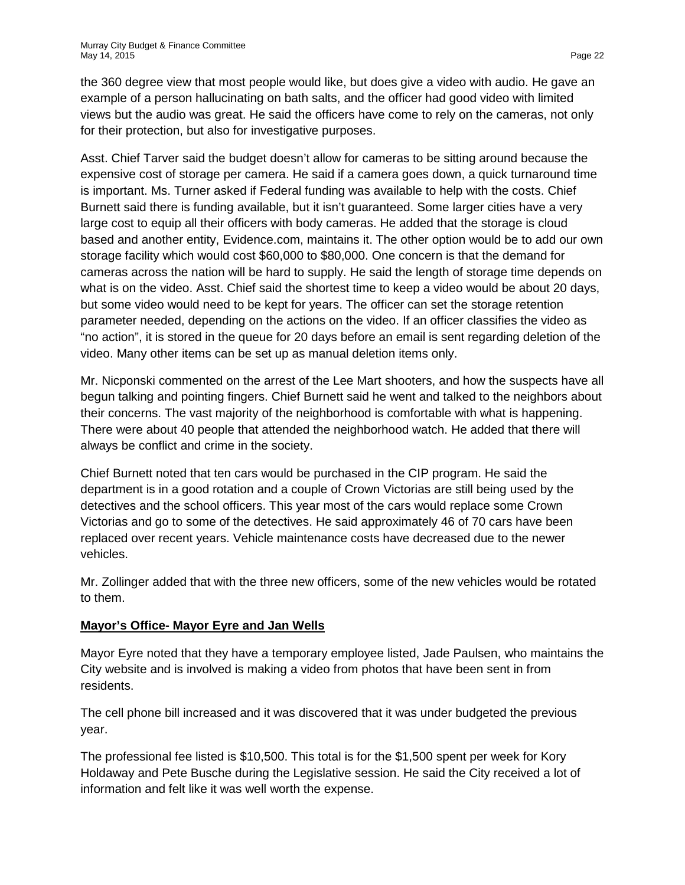the 360 degree view that most people would like, but does give a video with audio. He gave an example of a person hallucinating on bath salts, and the officer had good video with limited views but the audio was great. He said the officers have come to rely on the cameras, not only for their protection, but also for investigative purposes.

Asst. Chief Tarver said the budget doesn't allow for cameras to be sitting around because the expensive cost of storage per camera. He said if a camera goes down, a quick turnaround time is important. Ms. Turner asked if Federal funding was available to help with the costs. Chief Burnett said there is funding available, but it isn't guaranteed. Some larger cities have a very large cost to equip all their officers with body cameras. He added that the storage is cloud based and another entity, Evidence.com, maintains it. The other option would be to add our own storage facility which would cost \$60,000 to \$80,000. One concern is that the demand for cameras across the nation will be hard to supply. He said the length of storage time depends on what is on the video. Asst. Chief said the shortest time to keep a video would be about 20 days, but some video would need to be kept for years. The officer can set the storage retention parameter needed, depending on the actions on the video. If an officer classifies the video as "no action", it is stored in the queue for 20 days before an email is sent regarding deletion of the video. Many other items can be set up as manual deletion items only.

Mr. Nicponski commented on the arrest of the Lee Mart shooters, and how the suspects have all begun talking and pointing fingers. Chief Burnett said he went and talked to the neighbors about their concerns. The vast majority of the neighborhood is comfortable with what is happening. There were about 40 people that attended the neighborhood watch. He added that there will always be conflict and crime in the society.

Chief Burnett noted that ten cars would be purchased in the CIP program. He said the department is in a good rotation and a couple of Crown Victorias are still being used by the detectives and the school officers. This year most of the cars would replace some Crown Victorias and go to some of the detectives. He said approximately 46 of 70 cars have been replaced over recent years. Vehicle maintenance costs have decreased due to the newer vehicles.

Mr. Zollinger added that with the three new officers, some of the new vehicles would be rotated to them.

## **Mayor's Office- Mayor Eyre and Jan Wells**

Mayor Eyre noted that they have a temporary employee listed, Jade Paulsen, who maintains the City website and is involved is making a video from photos that have been sent in from residents.

The cell phone bill increased and it was discovered that it was under budgeted the previous year.

The professional fee listed is \$10,500. This total is for the \$1,500 spent per week for Kory Holdaway and Pete Busche during the Legislative session. He said the City received a lot of information and felt like it was well worth the expense.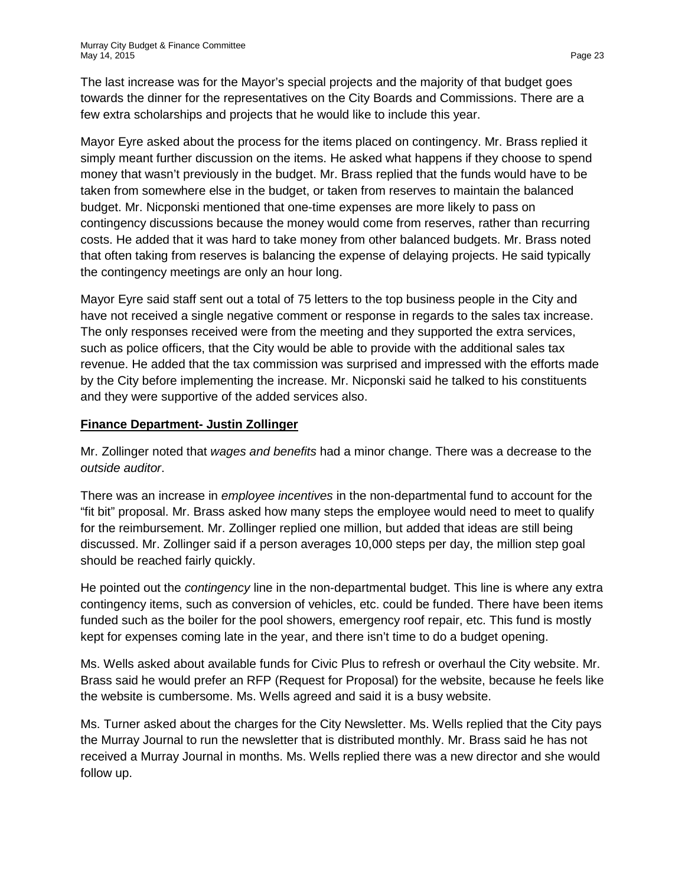The last increase was for the Mayor's special projects and the majority of that budget goes towards the dinner for the representatives on the City Boards and Commissions. There are a few extra scholarships and projects that he would like to include this year.

Mayor Eyre asked about the process for the items placed on contingency. Mr. Brass replied it simply meant further discussion on the items. He asked what happens if they choose to spend money that wasn't previously in the budget. Mr. Brass replied that the funds would have to be taken from somewhere else in the budget, or taken from reserves to maintain the balanced budget. Mr. Nicponski mentioned that one-time expenses are more likely to pass on contingency discussions because the money would come from reserves, rather than recurring costs. He added that it was hard to take money from other balanced budgets. Mr. Brass noted that often taking from reserves is balancing the expense of delaying projects. He said typically the contingency meetings are only an hour long.

Mayor Eyre said staff sent out a total of 75 letters to the top business people in the City and have not received a single negative comment or response in regards to the sales tax increase. The only responses received were from the meeting and they supported the extra services, such as police officers, that the City would be able to provide with the additional sales tax revenue. He added that the tax commission was surprised and impressed with the efforts made by the City before implementing the increase. Mr. Nicponski said he talked to his constituents and they were supportive of the added services also.

### **Finance Department- Justin Zollinger**

Mr. Zollinger noted that *wages and benefits* had a minor change. There was a decrease to the *outside auditor*.

There was an increase in *employee incentives* in the non-departmental fund to account for the "fit bit" proposal. Mr. Brass asked how many steps the employee would need to meet to qualify for the reimbursement. Mr. Zollinger replied one million, but added that ideas are still being discussed. Mr. Zollinger said if a person averages 10,000 steps per day, the million step goal should be reached fairly quickly.

He pointed out the *contingency* line in the non-departmental budget. This line is where any extra contingency items, such as conversion of vehicles, etc. could be funded. There have been items funded such as the boiler for the pool showers, emergency roof repair, etc. This fund is mostly kept for expenses coming late in the year, and there isn't time to do a budget opening.

Ms. Wells asked about available funds for Civic Plus to refresh or overhaul the City website. Mr. Brass said he would prefer an RFP (Request for Proposal) for the website, because he feels like the website is cumbersome. Ms. Wells agreed and said it is a busy website.

Ms. Turner asked about the charges for the City Newsletter. Ms. Wells replied that the City pays the Murray Journal to run the newsletter that is distributed monthly. Mr. Brass said he has not received a Murray Journal in months. Ms. Wells replied there was a new director and she would follow up.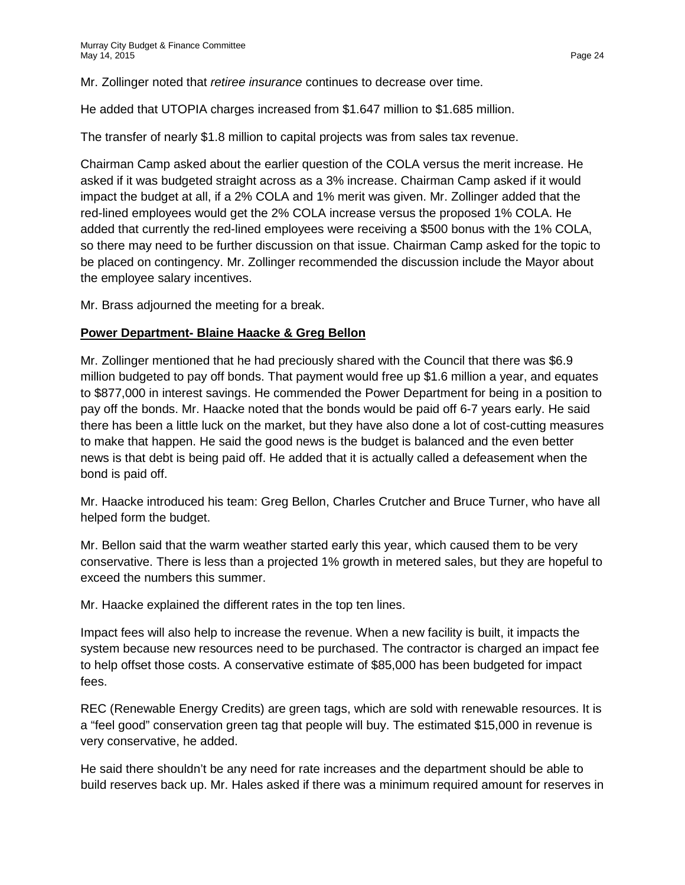Mr. Zollinger noted that *retiree insurance* continues to decrease over time.

He added that UTOPIA charges increased from \$1.647 million to \$1.685 million.

The transfer of nearly \$1.8 million to capital projects was from sales tax revenue.

Chairman Camp asked about the earlier question of the COLA versus the merit increase. He asked if it was budgeted straight across as a 3% increase. Chairman Camp asked if it would impact the budget at all, if a 2% COLA and 1% merit was given. Mr. Zollinger added that the red-lined employees would get the 2% COLA increase versus the proposed 1% COLA. He added that currently the red-lined employees were receiving a \$500 bonus with the 1% COLA, so there may need to be further discussion on that issue. Chairman Camp asked for the topic to be placed on contingency. Mr. Zollinger recommended the discussion include the Mayor about the employee salary incentives.

Mr. Brass adjourned the meeting for a break.

#### **Power Department- Blaine Haacke & Greg Bellon**

Mr. Zollinger mentioned that he had preciously shared with the Council that there was \$6.9 million budgeted to pay off bonds. That payment would free up \$1.6 million a year, and equates to \$877,000 in interest savings. He commended the Power Department for being in a position to pay off the bonds. Mr. Haacke noted that the bonds would be paid off 6-7 years early. He said there has been a little luck on the market, but they have also done a lot of cost-cutting measures to make that happen. He said the good news is the budget is balanced and the even better news is that debt is being paid off. He added that it is actually called a defeasement when the bond is paid off.

Mr. Haacke introduced his team: Greg Bellon, Charles Crutcher and Bruce Turner, who have all helped form the budget.

Mr. Bellon said that the warm weather started early this year, which caused them to be very conservative. There is less than a projected 1% growth in metered sales, but they are hopeful to exceed the numbers this summer.

Mr. Haacke explained the different rates in the top ten lines.

Impact fees will also help to increase the revenue. When a new facility is built, it impacts the system because new resources need to be purchased. The contractor is charged an impact fee to help offset those costs. A conservative estimate of \$85,000 has been budgeted for impact fees.

REC (Renewable Energy Credits) are green tags, which are sold with renewable resources. It is a "feel good" conservation green tag that people will buy. The estimated \$15,000 in revenue is very conservative, he added.

He said there shouldn't be any need for rate increases and the department should be able to build reserves back up. Mr. Hales asked if there was a minimum required amount for reserves in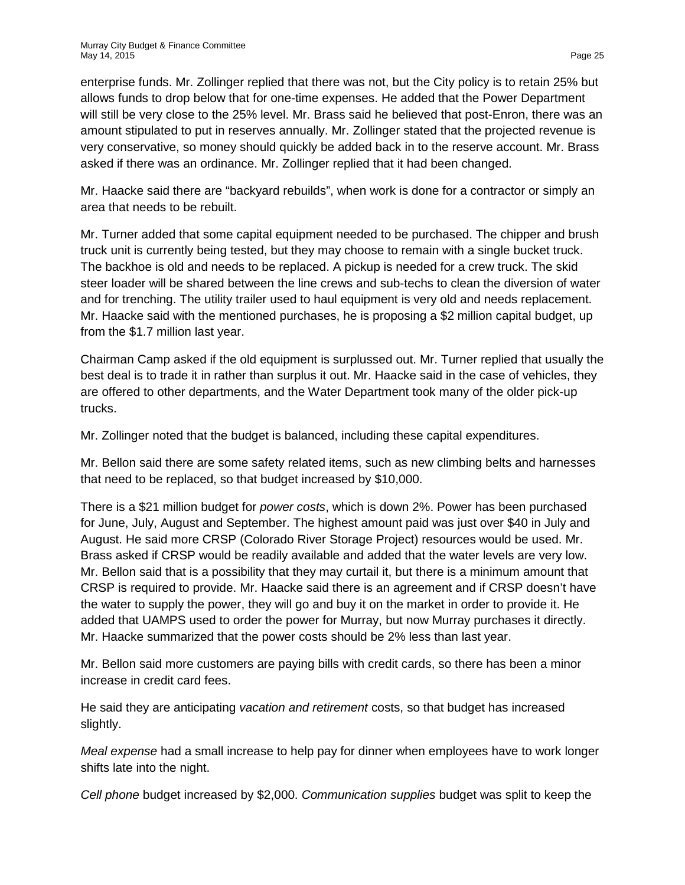enterprise funds. Mr. Zollinger replied that there was not, but the City policy is to retain 25% but allows funds to drop below that for one-time expenses. He added that the Power Department will still be very close to the 25% level. Mr. Brass said he believed that post-Enron, there was an amount stipulated to put in reserves annually. Mr. Zollinger stated that the projected revenue is very conservative, so money should quickly be added back in to the reserve account. Mr. Brass asked if there was an ordinance. Mr. Zollinger replied that it had been changed.

Mr. Haacke said there are "backyard rebuilds", when work is done for a contractor or simply an area that needs to be rebuilt.

Mr. Turner added that some capital equipment needed to be purchased. The chipper and brush truck unit is currently being tested, but they may choose to remain with a single bucket truck. The backhoe is old and needs to be replaced. A pickup is needed for a crew truck. The skid steer loader will be shared between the line crews and sub-techs to clean the diversion of water and for trenching. The utility trailer used to haul equipment is very old and needs replacement. Mr. Haacke said with the mentioned purchases, he is proposing a \$2 million capital budget, up from the \$1.7 million last year.

Chairman Camp asked if the old equipment is surplussed out. Mr. Turner replied that usually the best deal is to trade it in rather than surplus it out. Mr. Haacke said in the case of vehicles, they are offered to other departments, and the Water Department took many of the older pick-up trucks.

Mr. Zollinger noted that the budget is balanced, including these capital expenditures.

Mr. Bellon said there are some safety related items, such as new climbing belts and harnesses that need to be replaced, so that budget increased by \$10,000.

There is a \$21 million budget for *power costs*, which is down 2%. Power has been purchased for June, July, August and September. The highest amount paid was just over \$40 in July and August. He said more CRSP (Colorado River Storage Project) resources would be used. Mr. Brass asked if CRSP would be readily available and added that the water levels are very low. Mr. Bellon said that is a possibility that they may curtail it, but there is a minimum amount that CRSP is required to provide. Mr. Haacke said there is an agreement and if CRSP doesn't have the water to supply the power, they will go and buy it on the market in order to provide it. He added that UAMPS used to order the power for Murray, but now Murray purchases it directly. Mr. Haacke summarized that the power costs should be 2% less than last year.

Mr. Bellon said more customers are paying bills with credit cards, so there has been a minor increase in credit card fees.

He said they are anticipating *vacation and retirement* costs, so that budget has increased slightly.

*Meal expense* had a small increase to help pay for dinner when employees have to work longer shifts late into the night.

*Cell phone* budget increased by \$2,000. *Communication supplies* budget was split to keep the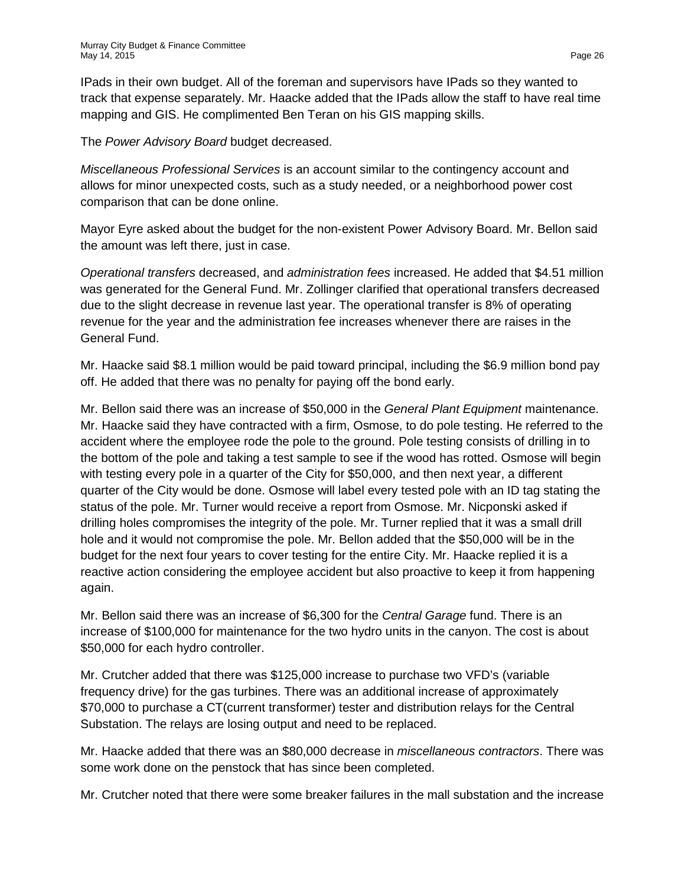IPads in their own budget. All of the foreman and supervisors have IPads so they wanted to track that expense separately. Mr. Haacke added that the IPads allow the staff to have real time mapping and GIS. He complimented Ben Teran on his GIS mapping skills.

The *Power Advisory Board* budget decreased.

*Miscellaneous Professional Services* is an account similar to the contingency account and allows for minor unexpected costs, such as a study needed, or a neighborhood power cost comparison that can be done online.

Mayor Eyre asked about the budget for the non-existent Power Advisory Board. Mr. Bellon said the amount was left there, just in case.

*Operational transfers* decreased, and *administration fees* increased. He added that \$4.51 million was generated for the General Fund. Mr. Zollinger clarified that operational transfers decreased due to the slight decrease in revenue last year. The operational transfer is 8% of operating revenue for the year and the administration fee increases whenever there are raises in the General Fund.

Mr. Haacke said \$8.1 million would be paid toward principal, including the \$6.9 million bond pay off. He added that there was no penalty for paying off the bond early.

Mr. Bellon said there was an increase of \$50,000 in the *General Plant Equipment* maintenance. Mr. Haacke said they have contracted with a firm, Osmose, to do pole testing. He referred to the accident where the employee rode the pole to the ground. Pole testing consists of drilling in to the bottom of the pole and taking a test sample to see if the wood has rotted. Osmose will begin with testing every pole in a quarter of the City for \$50,000, and then next year, a different quarter of the City would be done. Osmose will label every tested pole with an ID tag stating the status of the pole. Mr. Turner would receive a report from Osmose. Mr. Nicponski asked if drilling holes compromises the integrity of the pole. Mr. Turner replied that it was a small drill hole and it would not compromise the pole. Mr. Bellon added that the \$50,000 will be in the budget for the next four years to cover testing for the entire City. Mr. Haacke replied it is a reactive action considering the employee accident but also proactive to keep it from happening again.

Mr. Bellon said there was an increase of \$6,300 for the *Central Garage* fund. There is an increase of \$100,000 for maintenance for the two hydro units in the canyon. The cost is about \$50,000 for each hydro controller.

Mr. Crutcher added that there was \$125,000 increase to purchase two VFD's (variable frequency drive) for the gas turbines. There was an additional increase of approximately \$70,000 to purchase a CT(current transformer) tester and distribution relays for the Central Substation. The relays are losing output and need to be replaced.

Mr. Haacke added that there was an \$80,000 decrease in *miscellaneous contractors*. There was some work done on the penstock that has since been completed.

Mr. Crutcher noted that there were some breaker failures in the mall substation and the increase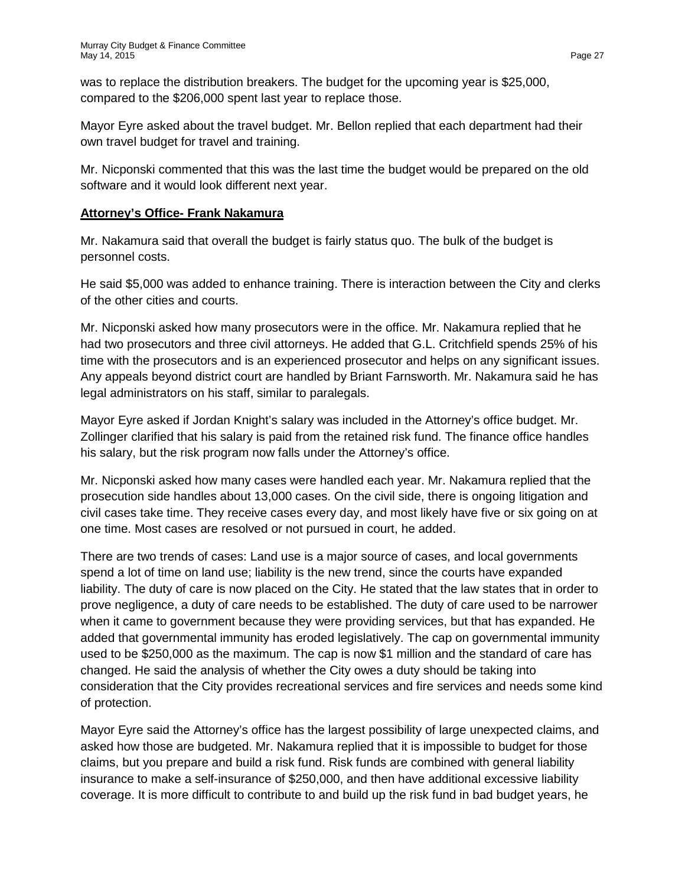was to replace the distribution breakers. The budget for the upcoming year is \$25,000, compared to the \$206,000 spent last year to replace those.

Mayor Eyre asked about the travel budget. Mr. Bellon replied that each department had their own travel budget for travel and training.

Mr. Nicponski commented that this was the last time the budget would be prepared on the old software and it would look different next year.

## **Attorney's Office- Frank Nakamura**

Mr. Nakamura said that overall the budget is fairly status quo. The bulk of the budget is personnel costs.

He said \$5,000 was added to enhance training. There is interaction between the City and clerks of the other cities and courts.

Mr. Nicponski asked how many prosecutors were in the office. Mr. Nakamura replied that he had two prosecutors and three civil attorneys. He added that G.L. Critchfield spends 25% of his time with the prosecutors and is an experienced prosecutor and helps on any significant issues. Any appeals beyond district court are handled by Briant Farnsworth. Mr. Nakamura said he has legal administrators on his staff, similar to paralegals.

Mayor Eyre asked if Jordan Knight's salary was included in the Attorney's office budget. Mr. Zollinger clarified that his salary is paid from the retained risk fund. The finance office handles his salary, but the risk program now falls under the Attorney's office.

Mr. Nicponski asked how many cases were handled each year. Mr. Nakamura replied that the prosecution side handles about 13,000 cases. On the civil side, there is ongoing litigation and civil cases take time. They receive cases every day, and most likely have five or six going on at one time. Most cases are resolved or not pursued in court, he added.

There are two trends of cases: Land use is a major source of cases, and local governments spend a lot of time on land use; liability is the new trend, since the courts have expanded liability. The duty of care is now placed on the City. He stated that the law states that in order to prove negligence, a duty of care needs to be established. The duty of care used to be narrower when it came to government because they were providing services, but that has expanded. He added that governmental immunity has eroded legislatively. The cap on governmental immunity used to be \$250,000 as the maximum. The cap is now \$1 million and the standard of care has changed. He said the analysis of whether the City owes a duty should be taking into consideration that the City provides recreational services and fire services and needs some kind of protection.

Mayor Eyre said the Attorney's office has the largest possibility of large unexpected claims, and asked how those are budgeted. Mr. Nakamura replied that it is impossible to budget for those claims, but you prepare and build a risk fund. Risk funds are combined with general liability insurance to make a self-insurance of \$250,000, and then have additional excessive liability coverage. It is more difficult to contribute to and build up the risk fund in bad budget years, he